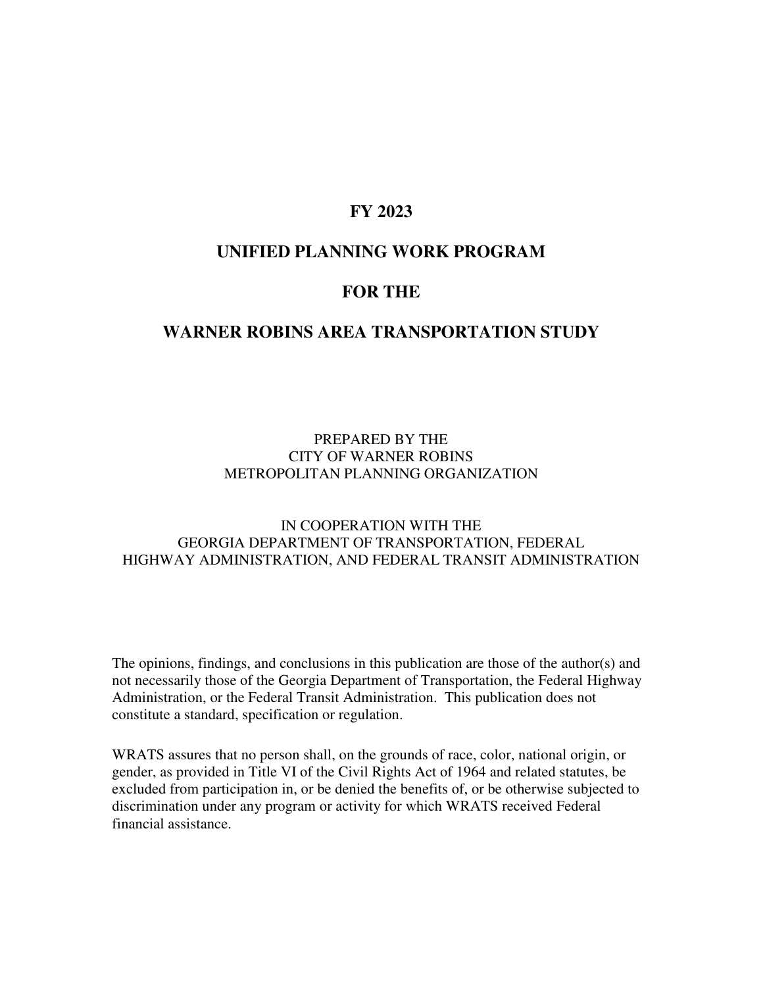### **FY 2023**

### **UNIFIED PLANNING WORK PROGRAM**

### **FOR THE**

#### **WARNER ROBINS AREA TRANSPORTATION STUDY**

#### PREPARED BY THE CITY OF WARNER ROBINS METROPOLITAN PLANNING ORGANIZATION

#### IN COOPERATION WITH THE GEORGIA DEPARTMENT OF TRANSPORTATION, FEDERAL HIGHWAY ADMINISTRATION, AND FEDERAL TRANSIT ADMINISTRATION

The opinions, findings, and conclusions in this publication are those of the author(s) and not necessarily those of the Georgia Department of Transportation, the Federal Highway Administration, or the Federal Transit Administration. This publication does not constitute a standard, specification or regulation.

WRATS assures that no person shall, on the grounds of race, color, national origin, or gender, as provided in Title VI of the Civil Rights Act of 1964 and related statutes, be excluded from participation in, or be denied the benefits of, or be otherwise subjected to discrimination under any program or activity for which WRATS received Federal financial assistance.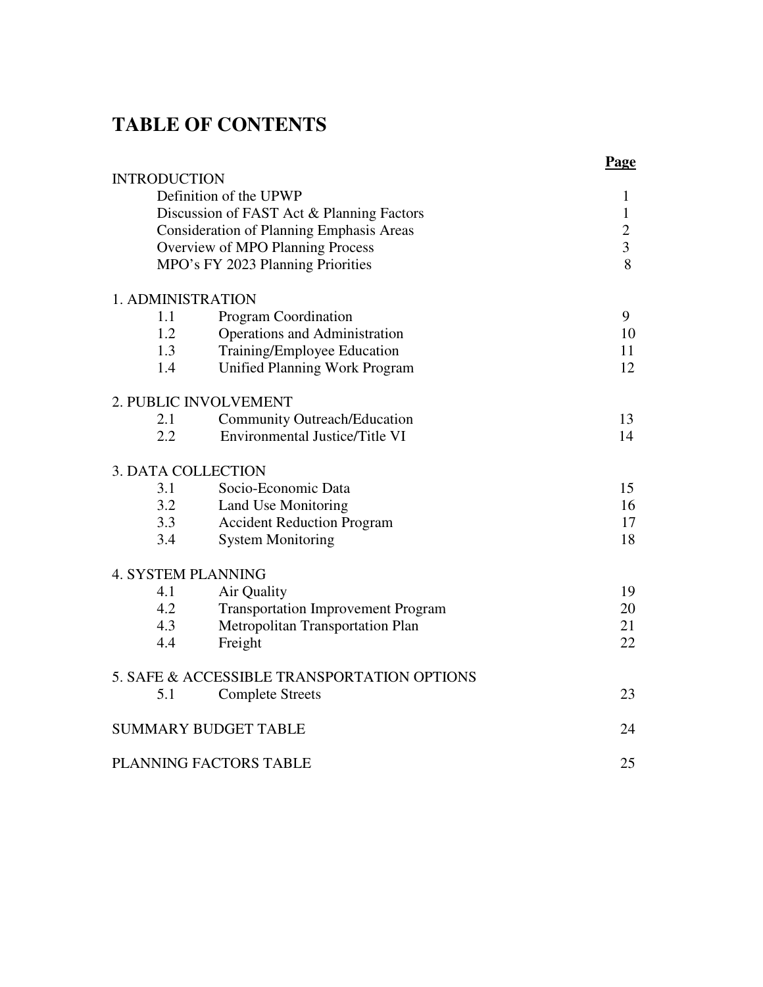# **TABLE OF CONTENTS**

| <b>INTRODUCTION</b>       |                                                 | Page           |
|---------------------------|-------------------------------------------------|----------------|
|                           | Definition of the UPWP                          | $\mathbf{1}$   |
|                           | Discussion of FAST Act & Planning Factors       | $\mathbf{1}$   |
|                           | <b>Consideration of Planning Emphasis Areas</b> | $\overline{2}$ |
|                           | Overview of MPO Planning Process                | $\overline{3}$ |
|                           | MPO's FY 2023 Planning Priorities               | 8              |
| 1. ADMINISTRATION         |                                                 |                |
| 1.1                       | Program Coordination                            | 9              |
| 1.2                       | Operations and Administration                   | 10             |
| 1.3                       | Training/Employee Education                     | 11             |
| 1.4                       | Unified Planning Work Program                   | 12             |
|                           | 2. PUBLIC INVOLVEMENT                           |                |
| 2.1                       | <b>Community Outreach/Education</b>             | 13             |
| 2.2                       | Environmental Justice/Title VI                  | 14             |
| <b>3. DATA COLLECTION</b> |                                                 |                |
| 3.1                       | Socio-Economic Data                             | 15             |
| 3.2                       | Land Use Monitoring                             | 16             |
| 3.3                       | <b>Accident Reduction Program</b>               | 17             |
| 3.4                       | <b>System Monitoring</b>                        | 18             |
| <b>4. SYSTEM PLANNING</b> |                                                 |                |
| 4.1                       | Air Quality                                     | 19             |
| 4.2                       | <b>Transportation Improvement Program</b>       | 20             |
| 4.3                       | Metropolitan Transportation Plan                | 21             |
| 4.4                       | Freight                                         | 22             |
|                           | 5. SAFE & ACCESSIBLE TRANSPORTATION OPTIONS     |                |
| 5.1                       | <b>Complete Streets</b>                         | 23             |
|                           | <b>SUMMARY BUDGET TABLE</b>                     | 24             |
|                           | PLANNING FACTORS TABLE                          | 25             |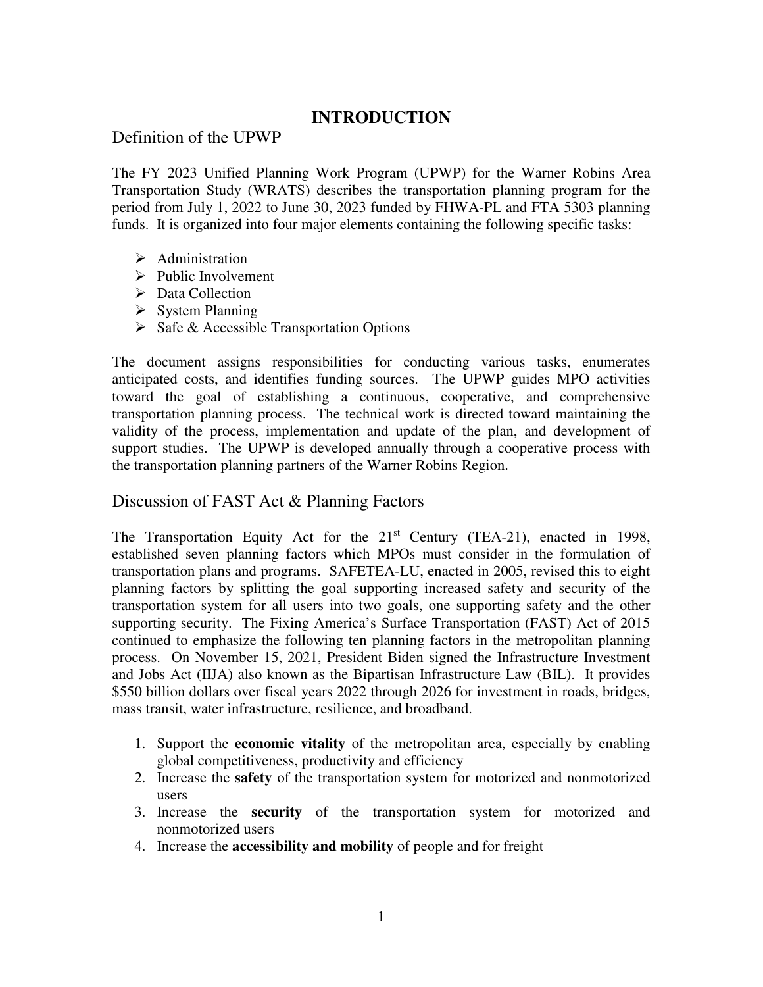### **INTRODUCTION**

### Definition of the UPWP

The FY 2023 Unified Planning Work Program (UPWP) for the Warner Robins Area Transportation Study (WRATS) describes the transportation planning program for the period from July 1, 2022 to June 30, 2023 funded by FHWA-PL and FTA 5303 planning funds. It is organized into four major elements containing the following specific tasks:

- $\triangleright$  Administration
- $\triangleright$  Public Involvement
- $\triangleright$  Data Collection
- $\triangleright$  System Planning
- $\triangleright$  Safe & Accessible Transportation Options

The document assigns responsibilities for conducting various tasks, enumerates anticipated costs, and identifies funding sources. The UPWP guides MPO activities toward the goal of establishing a continuous, cooperative, and comprehensive transportation planning process. The technical work is directed toward maintaining the validity of the process, implementation and update of the plan, and development of support studies. The UPWP is developed annually through a cooperative process with the transportation planning partners of the Warner Robins Region.

### Discussion of FAST Act & Planning Factors

The Transportation Equity Act for the  $21<sup>st</sup>$  Century (TEA-21), enacted in 1998, established seven planning factors which MPOs must consider in the formulation of transportation plans and programs. SAFETEA-LU, enacted in 2005, revised this to eight planning factors by splitting the goal supporting increased safety and security of the transportation system for all users into two goals, one supporting safety and the other supporting security. The Fixing America's Surface Transportation (FAST) Act of 2015 continued to emphasize the following ten planning factors in the metropolitan planning process. On November 15, 2021, President Biden signed the Infrastructure Investment and Jobs Act (IIJA) also known as the Bipartisan Infrastructure Law (BIL). It provides \$550 billion dollars over fiscal years 2022 through 2026 for investment in roads, bridges, mass transit, water infrastructure, resilience, and broadband.

- 1. Support the **economic vitality** of the metropolitan area, especially by enabling global competitiveness, productivity and efficiency
- 2. Increase the **safety** of the transportation system for motorized and nonmotorized users
- 3. Increase the **security** of the transportation system for motorized and nonmotorized users
- 4. Increase the **accessibility and mobility** of people and for freight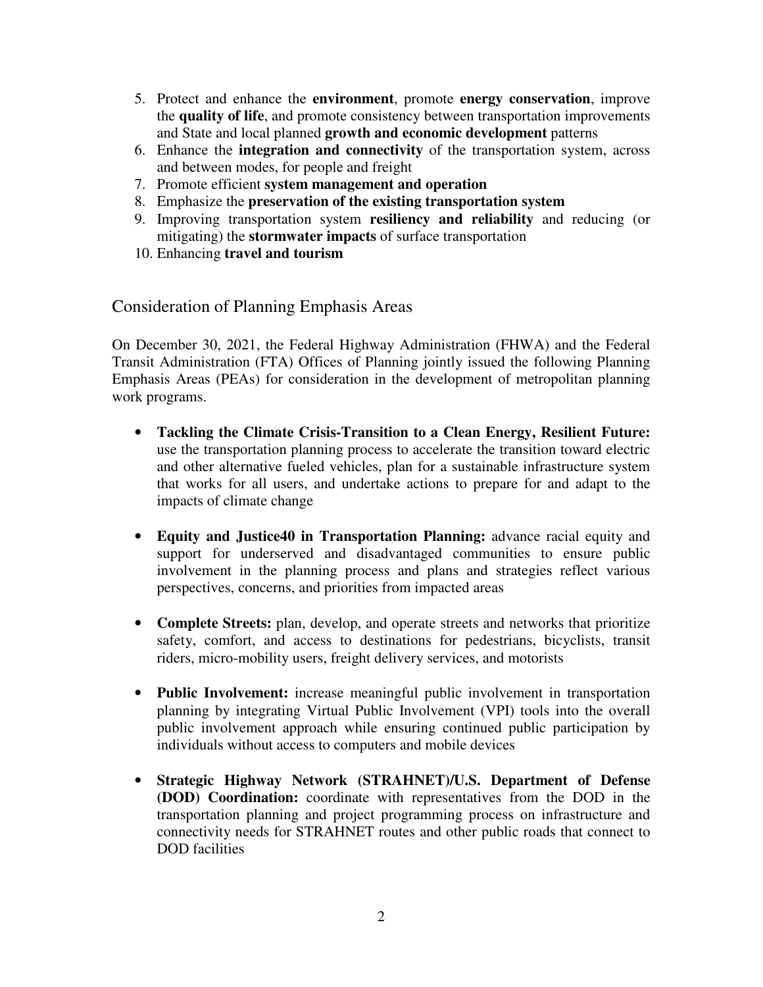- 5. Protect and enhance the **environment**, promote **energy conservation**, improve the **quality of life**, and promote consistency between transportation improvements and State and local planned **growth and economic development** patterns
- 6. Enhance the **integration and connectivity** of the transportation system, across and between modes, for people and freight
- 7. Promote efficient **system management and operation**
- 8. Emphasize the **preservation of the existing transportation system**
- 9. Improving transportation system **resiliency and reliability** and reducing (or mitigating) the **stormwater impacts** of surface transportation
- 10. Enhancing **travel and tourism**

Consideration of Planning Emphasis Areas

On December 30, 2021, the Federal Highway Administration (FHWA) and the Federal Transit Administration (FTA) Offices of Planning jointly issued the following Planning Emphasis Areas (PEAs) for consideration in the development of metropolitan planning work programs.

- **Tackling the Climate Crisis-Transition to a Clean Energy, Resilient Future:** use the transportation planning process to accelerate the transition toward electric and other alternative fueled vehicles, plan for a sustainable infrastructure system that works for all users, and undertake actions to prepare for and adapt to the impacts of climate change
- **Equity and Justice40 in Transportation Planning:** advance racial equity and support for underserved and disadvantaged communities to ensure public involvement in the planning process and plans and strategies reflect various perspectives, concerns, and priorities from impacted areas
- **Complete Streets:** plan, develop, and operate streets and networks that prioritize safety, comfort, and access to destinations for pedestrians, bicyclists, transit riders, micro-mobility users, freight delivery services, and motorists
- **Public Involvement:** increase meaningful public involvement in transportation planning by integrating Virtual Public Involvement (VPI) tools into the overall public involvement approach while ensuring continued public participation by individuals without access to computers and mobile devices
- **Strategic Highway Network (STRAHNET)/U.S. Department of Defense (DOD) Coordination:** coordinate with representatives from the DOD in the transportation planning and project programming process on infrastructure and connectivity needs for STRAHNET routes and other public roads that connect to DOD facilities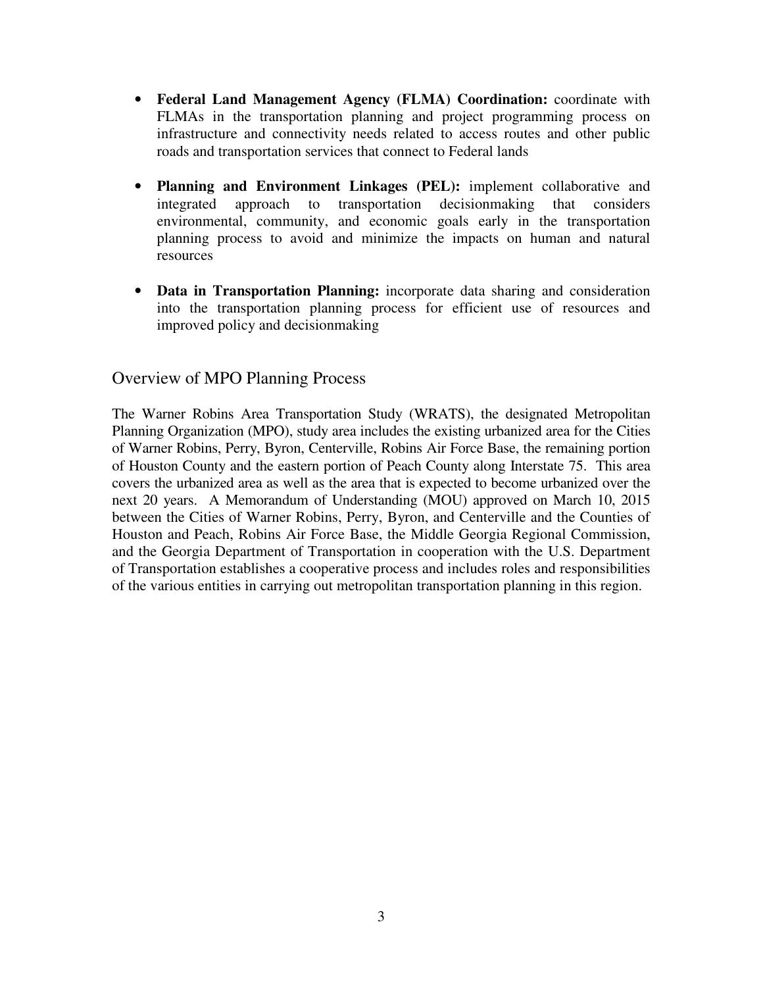- **Federal Land Management Agency (FLMA) Coordination:** coordinate with FLMAs in the transportation planning and project programming process on infrastructure and connectivity needs related to access routes and other public roads and transportation services that connect to Federal lands
- **Planning and Environment Linkages (PEL):** implement collaborative and integrated approach to transportation decisionmaking that considers environmental, community, and economic goals early in the transportation planning process to avoid and minimize the impacts on human and natural resources
- **Data in Transportation Planning:** incorporate data sharing and consideration into the transportation planning process for efficient use of resources and improved policy and decisionmaking

### Overview of MPO Planning Process

The Warner Robins Area Transportation Study (WRATS), the designated Metropolitan Planning Organization (MPO), study area includes the existing urbanized area for the Cities of Warner Robins, Perry, Byron, Centerville, Robins Air Force Base, the remaining portion of Houston County and the eastern portion of Peach County along Interstate 75. This area covers the urbanized area as well as the area that is expected to become urbanized over the next 20 years. A Memorandum of Understanding (MOU) approved on March 10, 2015 between the Cities of Warner Robins, Perry, Byron, and Centerville and the Counties of Houston and Peach, Robins Air Force Base, the Middle Georgia Regional Commission, and the Georgia Department of Transportation in cooperation with the U.S. Department of Transportation establishes a cooperative process and includes roles and responsibilities of the various entities in carrying out metropolitan transportation planning in this region.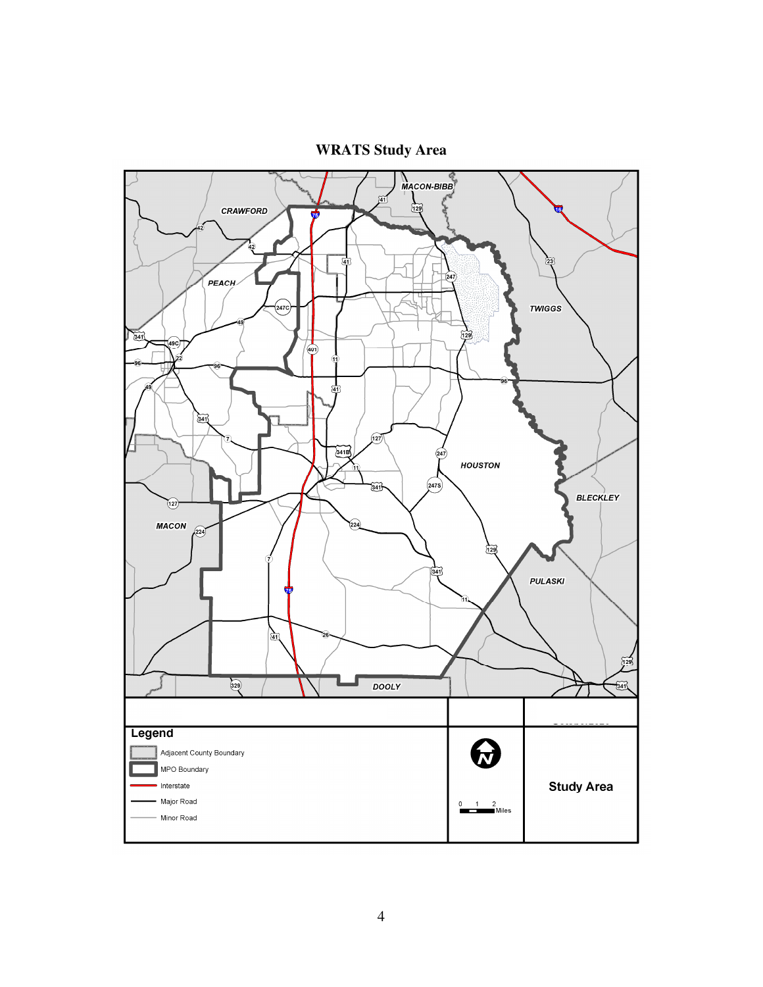**WRATS Study Area** 

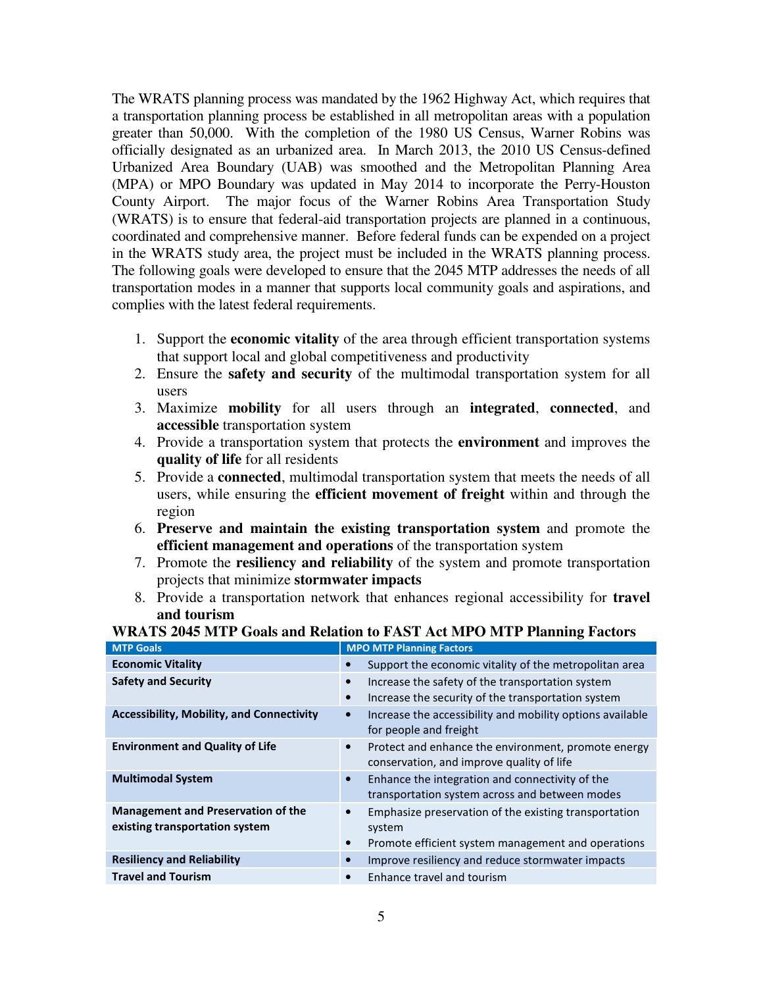The WRATS planning process was mandated by the 1962 Highway Act, which requires that a transportation planning process be established in all metropolitan areas with a population greater than 50,000. With the completion of the 1980 US Census, Warner Robins was officially designated as an urbanized area. In March 2013, the 2010 US Census-defined Urbanized Area Boundary (UAB) was smoothed and the Metropolitan Planning Area (MPA) or MPO Boundary was updated in May 2014 to incorporate the Perry-Houston County Airport. The major focus of the Warner Robins Area Transportation Study (WRATS) is to ensure that federal-aid transportation projects are planned in a continuous, coordinated and comprehensive manner. Before federal funds can be expended on a project in the WRATS study area, the project must be included in the WRATS planning process. The following goals were developed to ensure that the 2045 MTP addresses the needs of all transportation modes in a manner that supports local community goals and aspirations, and complies with the latest federal requirements.

- 1. Support the **economic vitality** of the area through efficient transportation systems that support local and global competitiveness and productivity
- 2. Ensure the **safety and security** of the multimodal transportation system for all users
- 3. Maximize **mobility** for all users through an **integrated**, **connected**, and **accessible** transportation system
- 4. Provide a transportation system that protects the **environment** and improves the **quality of life** for all residents
- 5. Provide a **connected**, multimodal transportation system that meets the needs of all users, while ensuring the **efficient movement of freight** within and through the region
- 6. **Preserve and maintain the existing transportation system** and promote the **efficient management and operations** of the transportation system
- 7. Promote the **resiliency and reliability** of the system and promote transportation projects that minimize **stormwater impacts**
- 8. Provide a transportation network that enhances regional accessibility for **travel and tourism**

| <b>MTP Goals</b>                                                            | <b>MPO MTP Planning Factors</b>                                                                                                    |
|-----------------------------------------------------------------------------|------------------------------------------------------------------------------------------------------------------------------------|
| <b>Economic Vitality</b>                                                    | Support the economic vitality of the metropolitan area<br>$\bullet$                                                                |
| <b>Safety and Security</b>                                                  | Increase the safety of the transportation system<br>$\bullet$<br>Increase the security of the transportation system<br>$\bullet$   |
| <b>Accessibility, Mobility, and Connectivity</b>                            | Increase the accessibility and mobility options available<br>$\bullet$<br>for people and freight                                   |
| <b>Environment and Quality of Life</b>                                      | Protect and enhance the environment, promote energy<br>conservation, and improve quality of life                                   |
| <b>Multimodal System</b>                                                    | Enhance the integration and connectivity of the<br>$\bullet$<br>transportation system across and between modes                     |
| <b>Management and Preservation of the</b><br>existing transportation system | Emphasize preservation of the existing transportation<br>system<br>Promote efficient system management and operations<br>$\bullet$ |
| <b>Resiliency and Reliability</b>                                           | Improve resiliency and reduce stormwater impacts<br>$\bullet$                                                                      |
| <b>Travel and Tourism</b>                                                   | Enhance travel and tourism                                                                                                         |

#### **WRATS 2045 MTP Goals and Relation to FAST Act MPO MTP Planning Factors**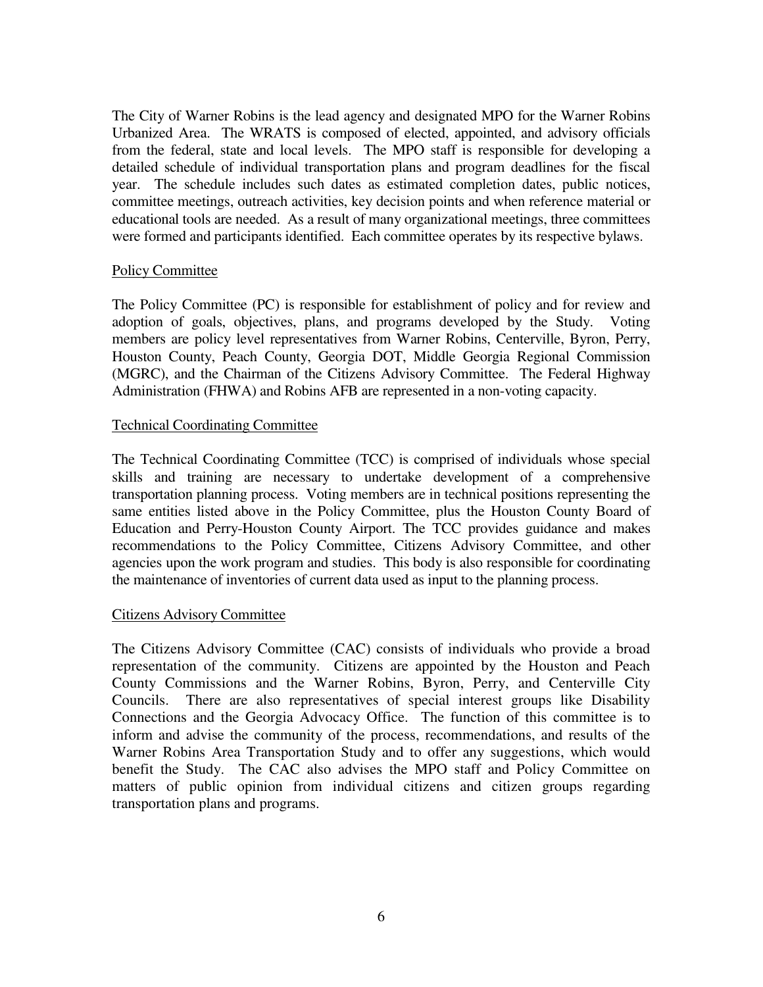The City of Warner Robins is the lead agency and designated MPO for the Warner Robins Urbanized Area. The WRATS is composed of elected, appointed, and advisory officials from the federal, state and local levels. The MPO staff is responsible for developing a detailed schedule of individual transportation plans and program deadlines for the fiscal year. The schedule includes such dates as estimated completion dates, public notices, committee meetings, outreach activities, key decision points and when reference material or educational tools are needed. As a result of many organizational meetings, three committees were formed and participants identified. Each committee operates by its respective bylaws.

#### Policy Committee

The Policy Committee (PC) is responsible for establishment of policy and for review and adoption of goals, objectives, plans, and programs developed by the Study. Voting members are policy level representatives from Warner Robins, Centerville, Byron, Perry, Houston County, Peach County, Georgia DOT, Middle Georgia Regional Commission (MGRC), and the Chairman of the Citizens Advisory Committee. The Federal Highway Administration (FHWA) and Robins AFB are represented in a non-voting capacity.

#### Technical Coordinating Committee

The Technical Coordinating Committee (TCC) is comprised of individuals whose special skills and training are necessary to undertake development of a comprehensive transportation planning process. Voting members are in technical positions representing the same entities listed above in the Policy Committee, plus the Houston County Board of Education and Perry-Houston County Airport. The TCC provides guidance and makes recommendations to the Policy Committee, Citizens Advisory Committee, and other agencies upon the work program and studies. This body is also responsible for coordinating the maintenance of inventories of current data used as input to the planning process.

#### Citizens Advisory Committee

The Citizens Advisory Committee (CAC) consists of individuals who provide a broad representation of the community. Citizens are appointed by the Houston and Peach County Commissions and the Warner Robins, Byron, Perry, and Centerville City Councils. There are also representatives of special interest groups like Disability Connections and the Georgia Advocacy Office. The function of this committee is to inform and advise the community of the process, recommendations, and results of the Warner Robins Area Transportation Study and to offer any suggestions, which would benefit the Study. The CAC also advises the MPO staff and Policy Committee on matters of public opinion from individual citizens and citizen groups regarding transportation plans and programs.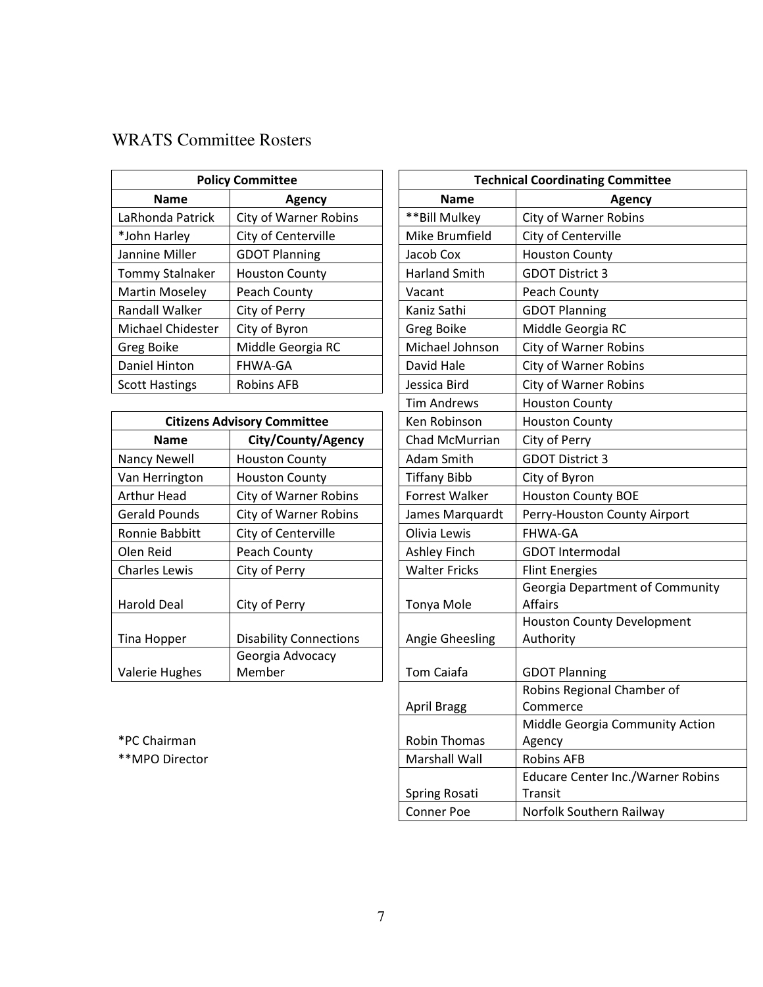### WRATS Committee Rosters

| <b>Policy Committee</b>      |  | <b>Technical Coordinating Commi</b> |                              |
|------------------------------|--|-------------------------------------|------------------------------|
| <b>Name</b><br>Agency        |  | <b>Name</b>                         | Agency                       |
| <b>City of Warner Robins</b> |  | **Bill Mulkey                       | <b>City of Warner Robins</b> |
| City of Centerville          |  | Mike Brumfield                      | City of Centerville          |
| <b>GDOT Planning</b>         |  | Jacob Cox                           | <b>Houston County</b>        |
| <b>Houston County</b>        |  | <b>Harland Smith</b>                | <b>GDOT District 3</b>       |
| Peach County                 |  | Vacant                              | Peach County                 |
| City of Perry                |  | Kaniz Sathi                         | <b>GDOT Planning</b>         |
| City of Byron                |  | Greg Boike                          | Middle Georgia RC            |
| Middle Georgia RC            |  | Michael Johnson                     | <b>City of Warner Robins</b> |
| FHWA-GA                      |  | David Hale                          | <b>City of Warner Robins</b> |
| <b>Robins AFB</b>            |  | Jessica Bird                        | <b>City of Warner Robins</b> |
|                              |  |                                     |                              |

| <b>Citizens Advisory Committee</b> |                               | Ken Robinson         | <b>Houston County</b>                   |
|------------------------------------|-------------------------------|----------------------|-----------------------------------------|
| <b>Name</b>                        | City/County/Agency            | Chad McMurrian       | City of Perry                           |
| Nancy Newell                       | <b>Houston County</b>         | Adam Smith           | <b>GDOT District 3</b>                  |
| Van Herrington                     | <b>Houston County</b>         | <b>Tiffany Bibb</b>  | City of Byron                           |
| Arthur Head                        | <b>City of Warner Robins</b>  | Forrest Walker       | <b>Houston County BOE</b>               |
| <b>Gerald Pounds</b>               | <b>City of Warner Robins</b>  | James Marquardt      | Perry-Houston Count                     |
| Ronnie Babbitt                     | City of Centerville           | Olivia Lewis         | <b>FHWA-GA</b>                          |
| Olen Reid                          | Peach County                  | <b>Ashley Finch</b>  | <b>GDOT Intermodal</b>                  |
| <b>Charles Lewis</b>               | City of Perry                 | <b>Walter Fricks</b> | <b>Flint Energies</b>                   |
| <b>Harold Deal</b>                 | City of Perry                 | Tonya Mole           | Georgia Department<br><b>Affairs</b>    |
| Tina Hopper                        | <b>Disability Connections</b> | Angie Gheesling      | <b>Houston County Deve</b><br>Authority |
|                                    | Georgia Advocacy              |                      |                                         |
| <b>Valerie Hughes</b>              | Member                        | <b>Tom Caiafa</b>    | <b>GDOT Planning</b>                    |

|                       | <b>Policy Committee</b>            | <b>Technical Coordinating Committee</b> |                                                     |  |
|-----------------------|------------------------------------|-----------------------------------------|-----------------------------------------------------|--|
| <b>Name</b>           | <b>Agency</b>                      |                                         | Agency                                              |  |
| LaRhonda Patrick      | <b>City of Warner Robins</b>       | ** Bill Mulkey                          | <b>City of Warner Robins</b>                        |  |
| *John Harley          | City of Centerville                | Mike Brumfield                          | City of Centerville                                 |  |
| Jannine Miller        | <b>GDOT Planning</b>               | Jacob Cox                               | <b>Houston County</b>                               |  |
| Tommy Stalnaker       | <b>Houston County</b>              | <b>Harland Smith</b>                    | <b>GDOT District 3</b>                              |  |
| <b>Martin Moseley</b> | Peach County                       | Vacant                                  | Peach County                                        |  |
| <b>Randall Walker</b> | City of Perry                      | Kaniz Sathi                             | <b>GDOT Planning</b>                                |  |
| Michael Chidester     | City of Byron                      | Greg Boike                              | Middle Georgia RC                                   |  |
| Greg Boike            | Middle Georgia RC                  | Michael Johnson                         | City of Warner Robins                               |  |
| Daniel Hinton         | FHWA-GA                            | David Hale                              | City of Warner Robins                               |  |
| <b>Scott Hastings</b> | <b>Robins AFB</b>                  | Jessica Bird                            | <b>City of Warner Robins</b>                        |  |
|                       |                                    | Tim Andrews                             | <b>Houston County</b>                               |  |
|                       | <b>Citizens Advisory Committee</b> | Ken Robinson                            | <b>Houston County</b>                               |  |
| <b>Name</b>           | City/County/Agency                 | Chad McMurrian                          | City of Perry                                       |  |
| <b>Nancy Newell</b>   | <b>Houston County</b>              | Adam Smith                              | <b>GDOT District 3</b>                              |  |
| Van Herrington        | <b>Houston County</b>              | <b>Tiffany Bibb</b>                     | City of Byron                                       |  |
| <b>Arthur Head</b>    | City of Warner Robins              | <b>Forrest Walker</b>                   | <b>Houston County BOE</b>                           |  |
| <b>Gerald Pounds</b>  | <b>City of Warner Robins</b>       | James Marquardt                         | Perry-Houston County Airport                        |  |
| Ronnie Babbitt        | City of Centerville                | Olivia Lewis                            | <b>FHWA-GA</b>                                      |  |
| Olen Reid             | Peach County                       | <b>Ashley Finch</b>                     | <b>GDOT Intermodal</b>                              |  |
| <b>Charles Lewis</b>  | City of Perry                      | <b>Walter Fricks</b>                    | <b>Flint Energies</b>                               |  |
| <b>Harold Deal</b>    | City of Perry                      | Tonya Mole                              | <b>Georgia Department of Community</b><br>Affairs   |  |
| Tina Hopper           | <b>Disability Connections</b>      | Angie Gheesling                         | <b>Houston County Development</b><br>Authority      |  |
|                       | Georgia Advocacy                   |                                         |                                                     |  |
| Valerie Hughes        | Member                             | Tom Caiafa                              | <b>GDOT Planning</b>                                |  |
|                       |                                    |                                         | Robins Regional Chamber of                          |  |
|                       |                                    | <b>April Bragg</b>                      | Commerce                                            |  |
|                       |                                    |                                         | Middle Georgia Community Action                     |  |
| *PC Chairman          |                                    | <b>Robin Thomas</b>                     | Agency                                              |  |
| **MPO Director        |                                    | <b>Marshall Wall</b>                    | <b>Robins AFB</b>                                   |  |
|                       |                                    | Spring Rosati                           | <b>Educare Center Inc./Warner Robins</b><br>Transit |  |
|                       |                                    | <b>Conner Poe</b>                       |                                                     |  |
|                       |                                    |                                         | Norfolk Southern Railway                            |  |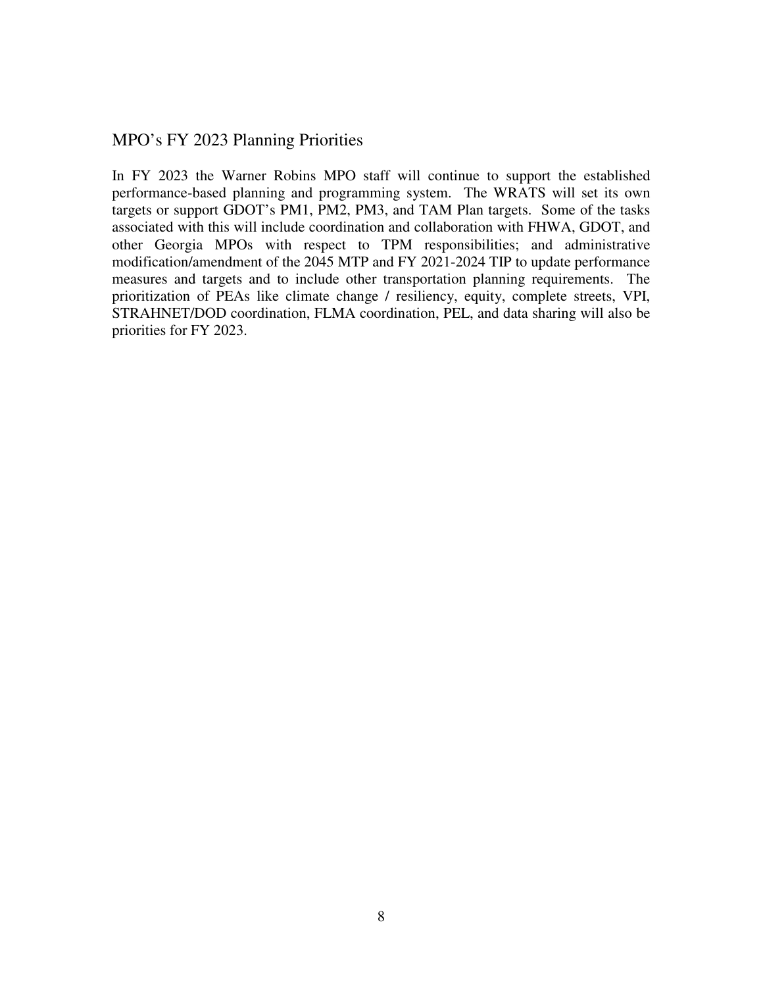### MPO's FY 2023 Planning Priorities

In FY 2023 the Warner Robins MPO staff will continue to support the established performance-based planning and programming system. The WRATS will set its own targets or support GDOT's PM1, PM2, PM3, and TAM Plan targets. Some of the tasks associated with this will include coordination and collaboration with FHWA, GDOT, and other Georgia MPOs with respect to TPM responsibilities; and administrative modification/amendment of the 2045 MTP and FY 2021-2024 TIP to update performance measures and targets and to include other transportation planning requirements. The prioritization of PEAs like climate change / resiliency, equity, complete streets, VPI, STRAHNET/DOD coordination, FLMA coordination, PEL, and data sharing will also be priorities for FY 2023.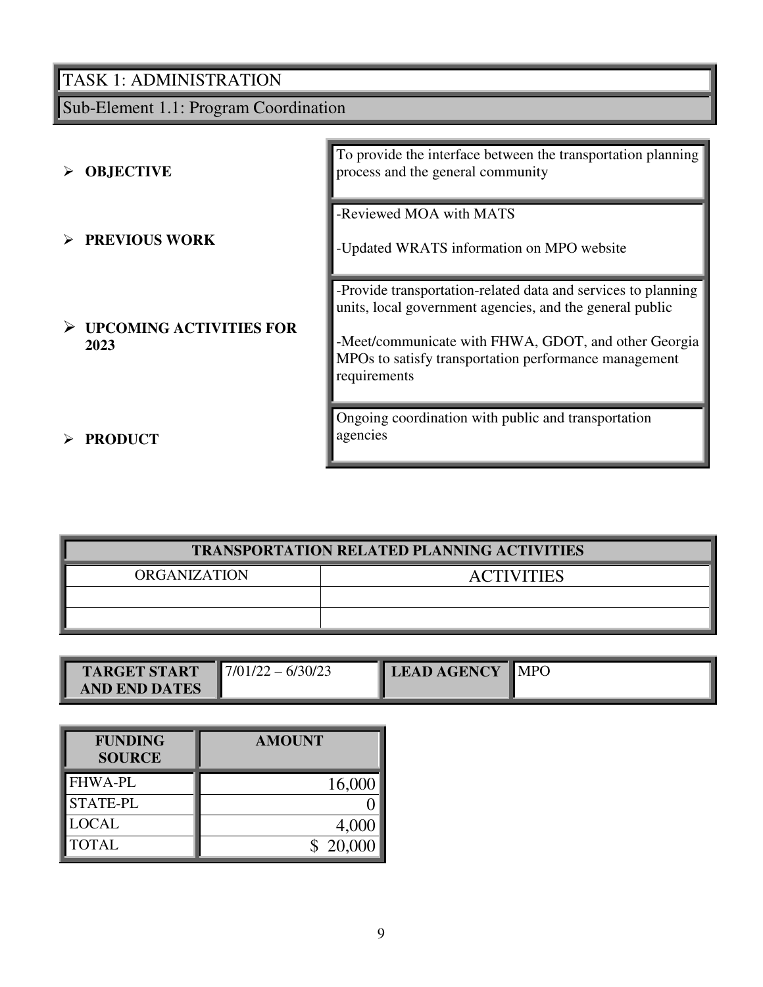Sub-Element 1.1: Program Coordination

| <b>OBJECTIVE</b><br>➤                            | To provide the interface between the transportation planning<br>process and the general community                                                                                                                                                          |
|--------------------------------------------------|------------------------------------------------------------------------------------------------------------------------------------------------------------------------------------------------------------------------------------------------------------|
| $\triangleright$ PREVIOUS WORK                   | -Reviewed MOA with MATS<br>-Updated WRATS information on MPO website                                                                                                                                                                                       |
| $\triangleright$ UPCOMING ACTIVITIES FOR<br>2023 | -Provide transportation-related data and services to planning<br>units, local government agencies, and the general public<br>-Meet/communicate with FHWA, GDOT, and other Georgia<br>MPOs to satisfy transportation performance management<br>requirements |
| <b>PRODUCT</b>                                   | Ongoing coordination with public and transportation<br>agencies                                                                                                                                                                                            |

| <b>TRANSPORTATION RELATED PLANNING ACTIVITIES</b> |  |  |  |  |
|---------------------------------------------------|--|--|--|--|
| ORGANIZATION<br><b>ACTIVITIES</b>                 |  |  |  |  |
|                                                   |  |  |  |  |
|                                                   |  |  |  |  |

| <b>TARGET START</b>  | 17/01/2<br>6/30/2<br><u>—</u> | <b>LEAD AGENCY</b> | $\blacksquare$ MPO |
|----------------------|-------------------------------|--------------------|--------------------|
| <b>AND END DATES</b> |                               |                    |                    |

| <b>FUNDING</b><br><b>SOURCE</b> | <b>AMOUNT</b> |
|---------------------------------|---------------|
| <b>FHWA-PL</b>                  | 16,000        |
| <b>STATE-PL</b>                 |               |
| <b>LOCAL</b>                    | 4,000         |
| <b>TOTAL</b>                    | \$20,000      |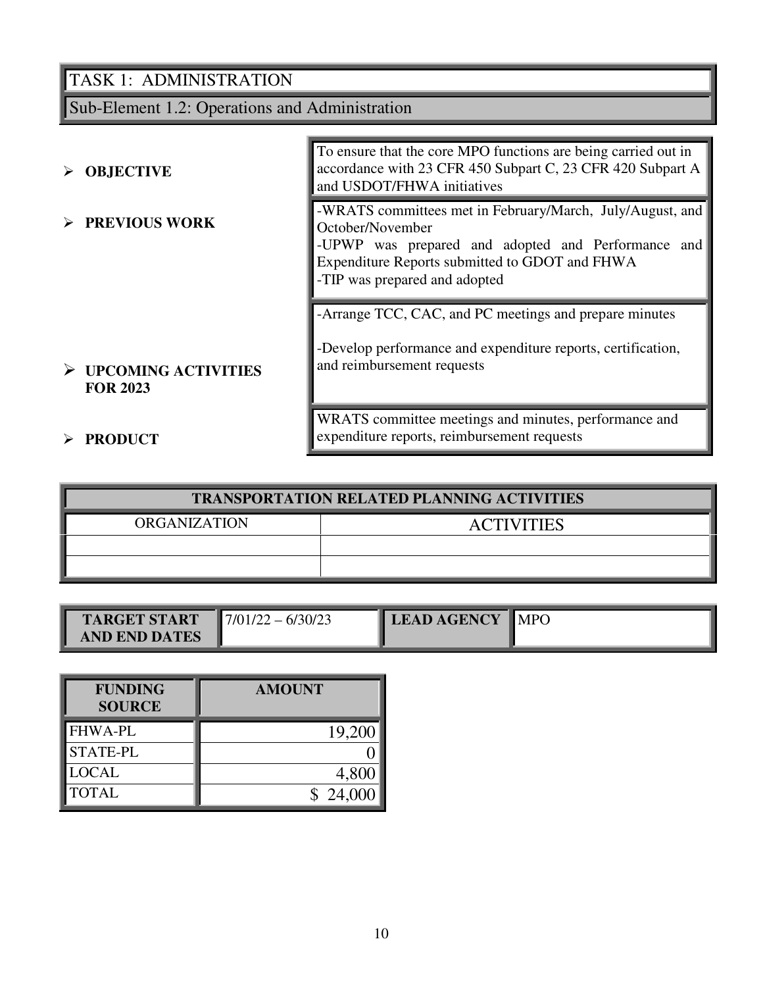Sub-Element 1.2: Operations and Administration

| $\triangleright$ OBJECTIVE                              | To ensure that the core MPO functions are being carried out in<br>accordance with 23 CFR 450 Subpart C, 23 CFR 420 Subpart A<br>and USDOT/FHWA initiatives                                                             |
|---------------------------------------------------------|------------------------------------------------------------------------------------------------------------------------------------------------------------------------------------------------------------------------|
| $\triangleright$ PREVIOUS WORK                          | -WRATS committees met in February/March, July/August, and<br>October/November<br>-UPWP was prepared and adopted and Performance and<br>Expenditure Reports submitted to GDOT and FHWA<br>-TIP was prepared and adopted |
|                                                         | -Arrange TCC, CAC, and PC meetings and prepare minutes<br>-Develop performance and expenditure reports, certification,                                                                                                 |
| $\triangleright$ UPCOMING ACTIVITIES<br><b>FOR 2023</b> | and reimbursement requests                                                                                                                                                                                             |
| <b>PRODUCT</b>                                          | WRATS committee meetings and minutes, performance and<br>expenditure reports, reimbursement requests                                                                                                                   |

| <b>TRANSPORTATION RELATED PLANNING ACTIVITIES</b> |  |  |  |  |
|---------------------------------------------------|--|--|--|--|
| <b>ORGANIZATION</b><br><b>ACTIVITIES</b>          |  |  |  |  |
|                                                   |  |  |  |  |
|                                                   |  |  |  |  |

| <b>TARGET START</b>  | $17/01/22 - 6/30/23$ | <b>LEAD AGENCY</b> | $\blacksquare$ MPO |
|----------------------|----------------------|--------------------|--------------------|
| <b>AND END DATES</b> |                      |                    |                    |

| <b>FUNDING</b><br><b>SOURCE</b> | <b>AMOUNT</b> |
|---------------------------------|---------------|
| <b>FHWA-PL</b>                  | 19,200        |
| <b>STATE-PL</b>                 |               |
| <b>LOCAL</b>                    | 4,800         |
| <b>TOTAL</b>                    | \$24,000      |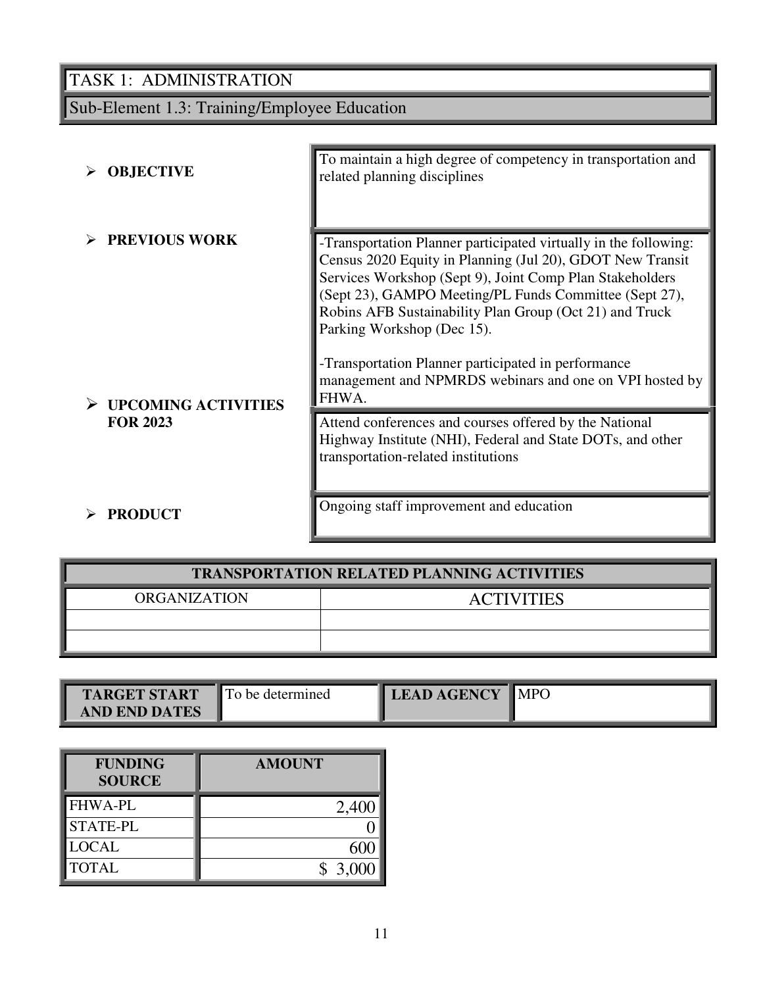# Sub-Element 1.3: Training/Employee Education

| <b>OBJECTIVE</b>           | To maintain a high degree of competency in transportation and<br>related planning disciplines                                                                                                                                                                                                                                                |  |  |
|----------------------------|----------------------------------------------------------------------------------------------------------------------------------------------------------------------------------------------------------------------------------------------------------------------------------------------------------------------------------------------|--|--|
|                            |                                                                                                                                                                                                                                                                                                                                              |  |  |
| <b>PREVIOUS WORK</b>       | -Transportation Planner participated virtually in the following:<br>Census 2020 Equity in Planning (Jul 20), GDOT New Transit<br>Services Workshop (Sept 9), Joint Comp Plan Stakeholders<br>(Sept 23), GAMPO Meeting/PL Funds Committee (Sept 27),<br>Robins AFB Sustainability Plan Group (Oct 21) and Truck<br>Parking Workshop (Dec 15). |  |  |
| <b>UPCOMING ACTIVITIES</b> | -Transportation Planner participated in performance<br>management and NPMRDS webinars and one on VPI hosted by<br>FHWA.                                                                                                                                                                                                                      |  |  |
| <b>FOR 2023</b>            | Attend conferences and courses offered by the National<br>Highway Institute (NHI), Federal and State DOTs, and other<br>transportation-related institutions                                                                                                                                                                                  |  |  |
| <b>PRODUCT</b>             | Ongoing staff improvement and education                                                                                                                                                                                                                                                                                                      |  |  |

| <b>TRANSPORTATION RELATED PLANNING ACTIVITIES</b> |  |  |  |  |
|---------------------------------------------------|--|--|--|--|
| <b>ORGANIZATION</b><br><b>ACTIVITIES</b>          |  |  |  |  |
|                                                   |  |  |  |  |
|                                                   |  |  |  |  |

| <b>TARGET START</b>  | <b>To be determined</b> | <b>LEAD AGENCY</b> | $\blacksquare$ MPC |
|----------------------|-------------------------|--------------------|--------------------|
| <b>AND END DATES</b> |                         |                    |                    |

| <b>FUNDING</b><br><b>SOURCE</b> | <b>AMOUNT</b> |
|---------------------------------|---------------|
| <b>FHWA-PL</b>                  | 2,400         |
| <b>STATE-PL</b>                 |               |
| <b>LOCAL</b>                    | 600           |
| <b>TOTAL</b>                    | \$3,000       |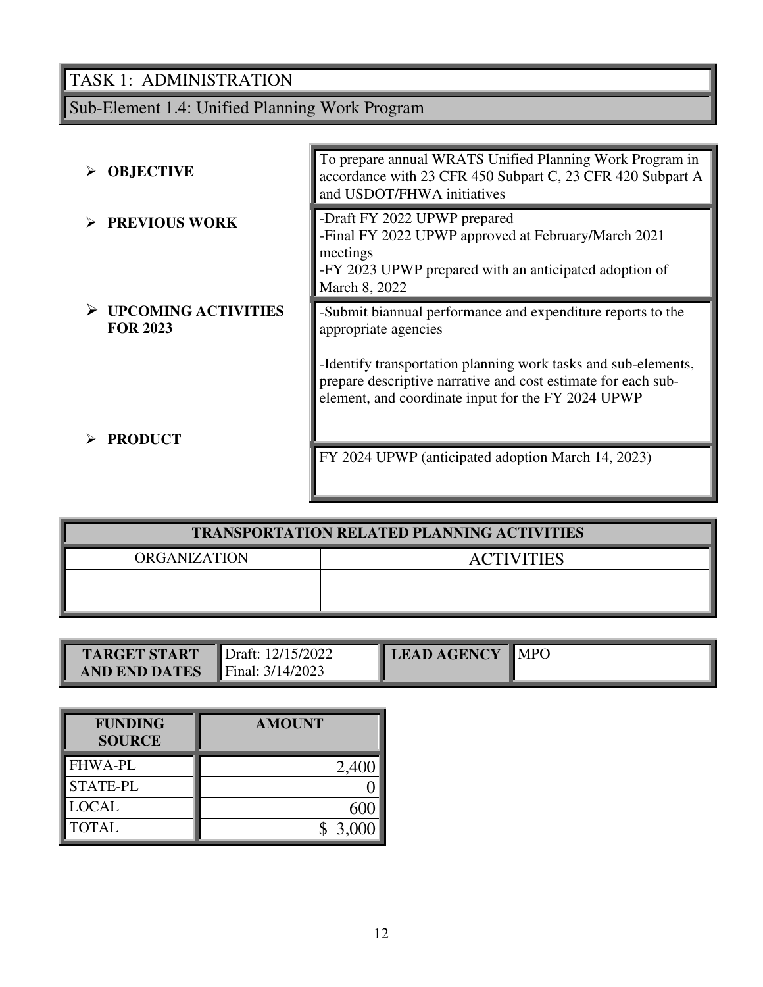# Sub-Element 1.4: Unified Planning Work Program

| <b>OBJECTIVE</b>                              | To prepare annual WRATS Unified Planning Work Program in<br>accordance with 23 CFR 450 Subpart C, 23 CFR 420 Subpart A<br>and USDOT/FHWA initiatives                                                                                                                         |
|-----------------------------------------------|------------------------------------------------------------------------------------------------------------------------------------------------------------------------------------------------------------------------------------------------------------------------------|
| <b>PREVIOUS WORK</b>                          | -Draft FY 2022 UPWP prepared<br>-Final FY 2022 UPWP approved at February/March 2021<br>meetings<br>-FY 2023 UPWP prepared with an anticipated adoption of<br>March 8, 2022                                                                                                   |
| <b>UPCOMING ACTIVITIES</b><br><b>FOR 2023</b> | -Submit biannual performance and expenditure reports to the<br>appropriate agencies<br>-Identify transportation planning work tasks and sub-elements,<br>prepare descriptive narrative and cost estimate for each sub-<br>element, and coordinate input for the FY 2024 UPWP |
| <b>PRODUCT</b>                                | FY 2024 UPWP (anticipated adoption March 14, 2023)                                                                                                                                                                                                                           |

| <b>TRANSPORTATION RELATED PLANNING ACTIVITIES</b> |  |  |  |  |  |
|---------------------------------------------------|--|--|--|--|--|
| <b>ORGANIZATION</b><br><b>ACTIVITIES</b>          |  |  |  |  |  |
|                                                   |  |  |  |  |  |
|                                                   |  |  |  |  |  |

| TARGET START         | Draft: 12/15/2022         | LEAD AGENCY MPO |  |
|----------------------|---------------------------|-----------------|--|
| <b>AND END DATES</b> | <b>Final:</b> $3/14/2023$ |                 |  |

| <b>FUNDING</b><br><b>SOURCE</b> | <b>AMOUNT</b> |
|---------------------------------|---------------|
| <b>FHWA-PL</b>                  | 2,400         |
| STATE-PL                        |               |
| <b>LOCAL</b>                    |               |
| <b>TOTAL</b>                    | \$3,000       |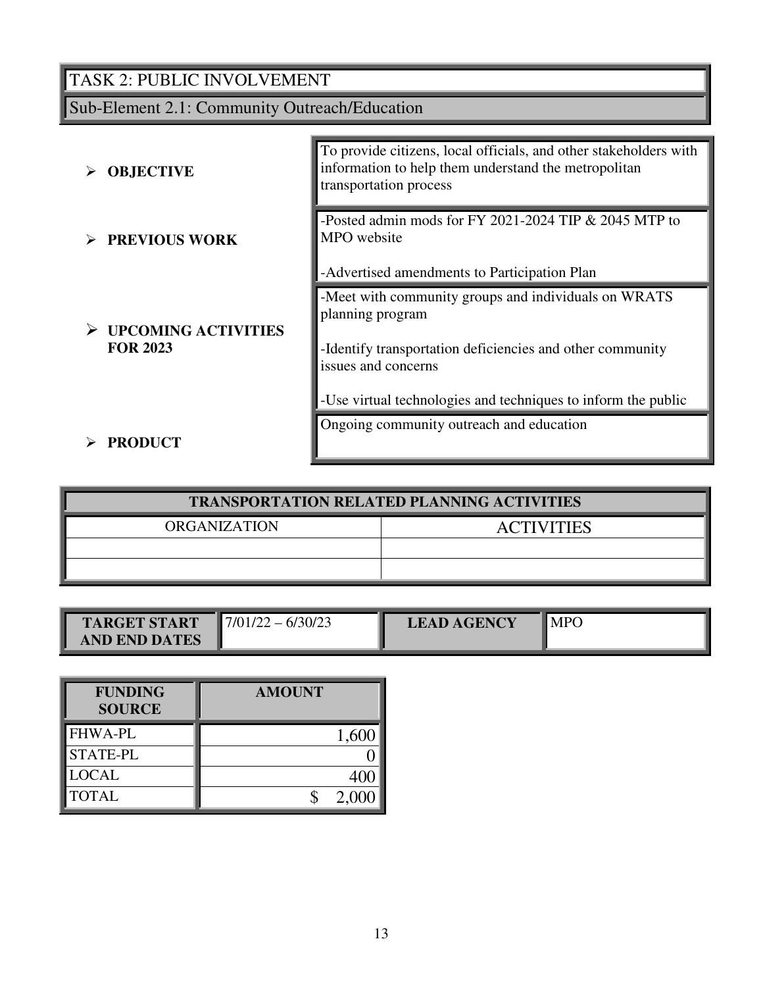# TASK 2: PUBLIC INVOLVEMENT

# Sub-Element 2.1: Community Outreach/Education

| <b>OBJECTIVE</b>                              | To provide citizens, local officials, and other stakeholders with<br>information to help them understand the metropolitan<br>transportation process                                                                           |
|-----------------------------------------------|-------------------------------------------------------------------------------------------------------------------------------------------------------------------------------------------------------------------------------|
| <b>PREVIOUS WORK</b>                          | -Posted admin mods for FY 2021-2024 TIP & 2045 MTP to<br>MPO website<br>-Advertised amendments to Participation Plan                                                                                                          |
| <b>UPCOMING ACTIVITIES</b><br><b>FOR 2023</b> | -Meet with community groups and individuals on WRATS<br>planning program<br>-Identify transportation deficiencies and other community<br>issues and concerns<br>-Use virtual technologies and techniques to inform the public |
| <b>PRODUCT</b>                                | Ongoing community outreach and education                                                                                                                                                                                      |

| <b>TRANSPORTATION RELATED PLANNING ACTIVITIES</b> |  |  |  |
|---------------------------------------------------|--|--|--|
| <b>ORGANIZATION</b><br><b>ACTIVITIES</b>          |  |  |  |
|                                                   |  |  |  |
|                                                   |  |  |  |

| <b>TARGET START</b>  | 6/30/23<br>$\blacksquare$ 7/01/22 – | <b>LEAD AGENCY</b> | <b>IMPC</b> |
|----------------------|-------------------------------------|--------------------|-------------|
| <b>AND END DATES</b> |                                     |                    |             |

| <b>FUNDING</b><br><b>SOURCE</b> | <b>AMOUNT</b> |
|---------------------------------|---------------|
| <b>FHWA-PL</b>                  | 1,600         |
| <b>STATE-PL</b>                 |               |
| <b>LOCAL</b>                    |               |
| <b>TOTAL</b>                    | 2,000         |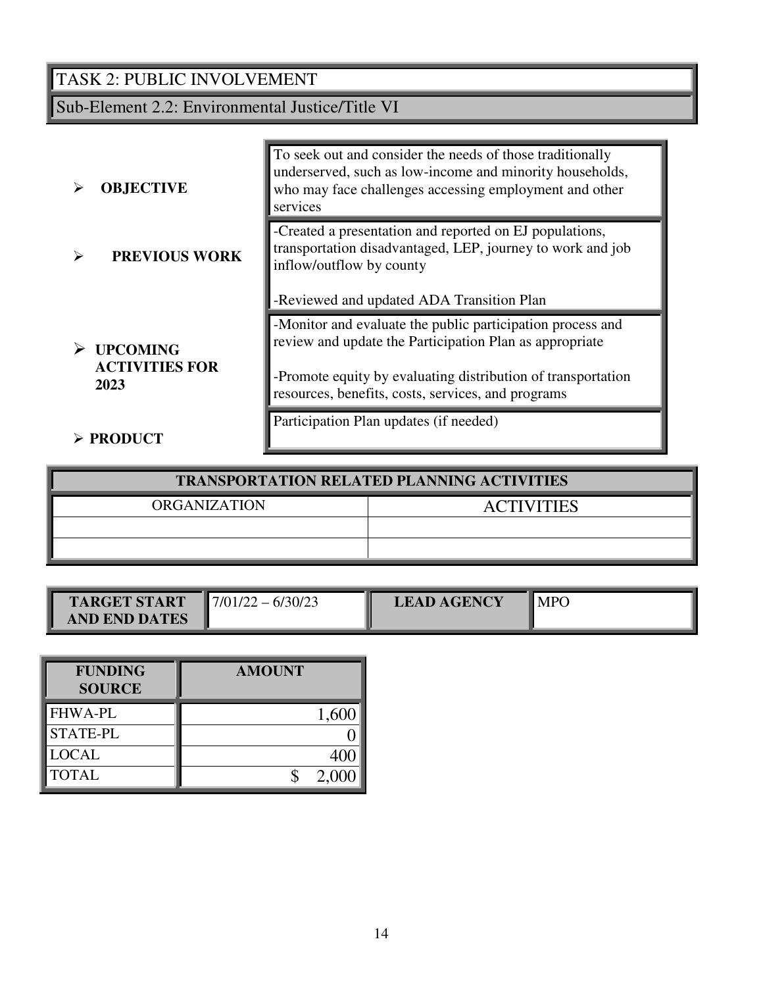# TASK 2: PUBLIC INVOLVEMENT

Sub-Element 2.2: Environmental Justice/Title VI

| <b>OBJECTIVE</b>                                 | To seek out and consider the needs of those traditionally<br>underserved, such as low-income and minority households,<br>who may face challenges accessing employment and other<br>services                                                 |
|--------------------------------------------------|---------------------------------------------------------------------------------------------------------------------------------------------------------------------------------------------------------------------------------------------|
| <b>PREVIOUS WORK</b>                             | -Created a presentation and reported on EJ populations,<br>transportation disadvantaged, LEP, journey to work and job<br>inflow/outflow by county<br>-Reviewed and updated ADA Transition Plan                                              |
| <b>UPCOMING</b><br><b>ACTIVITIES FOR</b><br>2023 | -Monitor and evaluate the public participation process and<br>review and update the Participation Plan as appropriate<br>-Promote equity by evaluating distribution of transportation<br>resources, benefits, costs, services, and programs |
| $\triangleright$ PRODUCT                         | Participation Plan updates (if needed)                                                                                                                                                                                                      |

| <b>TRANSPORTATION RELATED PLANNING ACTIVITIES</b> |                   |  |
|---------------------------------------------------|-------------------|--|
| ORGANIZATION                                      | <b>ACTIVITIES</b> |  |
|                                                   |                   |  |
|                                                   |                   |  |

| <b>TARGET START</b>  | 6/30/23<br>//01/2 | <b>LEAD AGENCY</b> | <b>MPC</b> |
|----------------------|-------------------|--------------------|------------|
| <b>AND END DATES</b> |                   |                    |            |

| <b>FUNDING</b><br><b>SOURCE</b> | <b>AMOUNT</b> |
|---------------------------------|---------------|
| <b>FHWA-PL</b>                  | 1,600         |
| <b>STATE-PL</b>                 |               |
| <b>LOCAL</b>                    |               |
| <b>TOTAL</b>                    | 2,000         |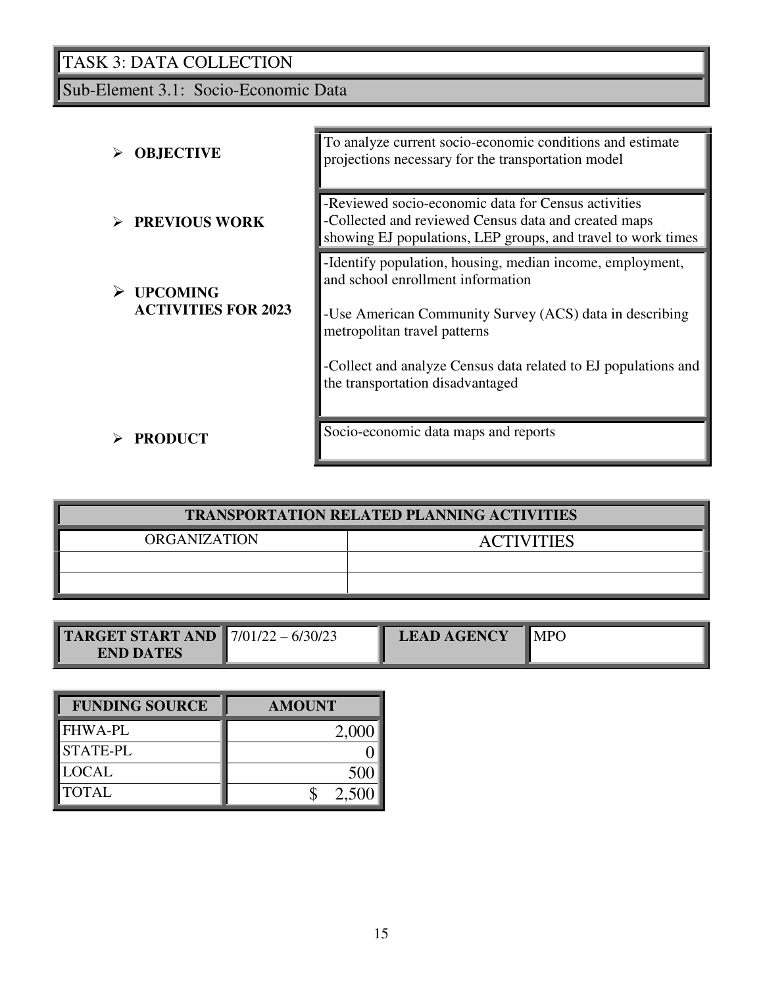Sub-Element 3.1: Socio-Economic Data

| <b>OBJECTIVE</b>                              | To analyze current socio-economic conditions and estimate<br>projections necessary for the transportation model                                                                           |
|-----------------------------------------------|-------------------------------------------------------------------------------------------------------------------------------------------------------------------------------------------|
| <b>PREVIOUS WORK</b>                          | -Reviewed socio-economic data for Census activities<br>-Collected and reviewed Census data and created maps<br>showing EJ populations, LEP groups, and travel to work times               |
| <b>UPCOMING</b><br><b>ACTIVITIES FOR 2023</b> | -Identify population, housing, median income, employment,<br>and school enrollment information<br>-Use American Community Survey (ACS) data in describing<br>metropolitan travel patterns |
|                                               | -Collect and analyze Census data related to EJ populations and<br>the transportation disadvantaged                                                                                        |
| <b>PRODUCT</b>                                | Socio-economic data maps and reports                                                                                                                                                      |

| <b>TRANSPORTATION RELATED PLANNING ACTIVITIES</b> |                   |  |
|---------------------------------------------------|-------------------|--|
| <b>ORGANIZATION</b>                               | <b>ACTIVITIES</b> |  |
|                                                   |                   |  |
|                                                   |                   |  |

| <b>TARGET START AND </b> 7/01/22 - 6/30/23 | <b>LEAD AGENCY</b> | <b>MPG</b> |
|--------------------------------------------|--------------------|------------|
| <b>END DATES</b>                           |                    |            |

| <b>FUNDING SOURCE</b> | <b>AMOUNT</b> |
|-----------------------|---------------|
| <b>FHWA-PL</b>        | 2,00          |
| <b>STATE-PL</b>       |               |
| <b>LOCAL</b>          | 500           |
| <b>TOTAL</b>          | 2,500         |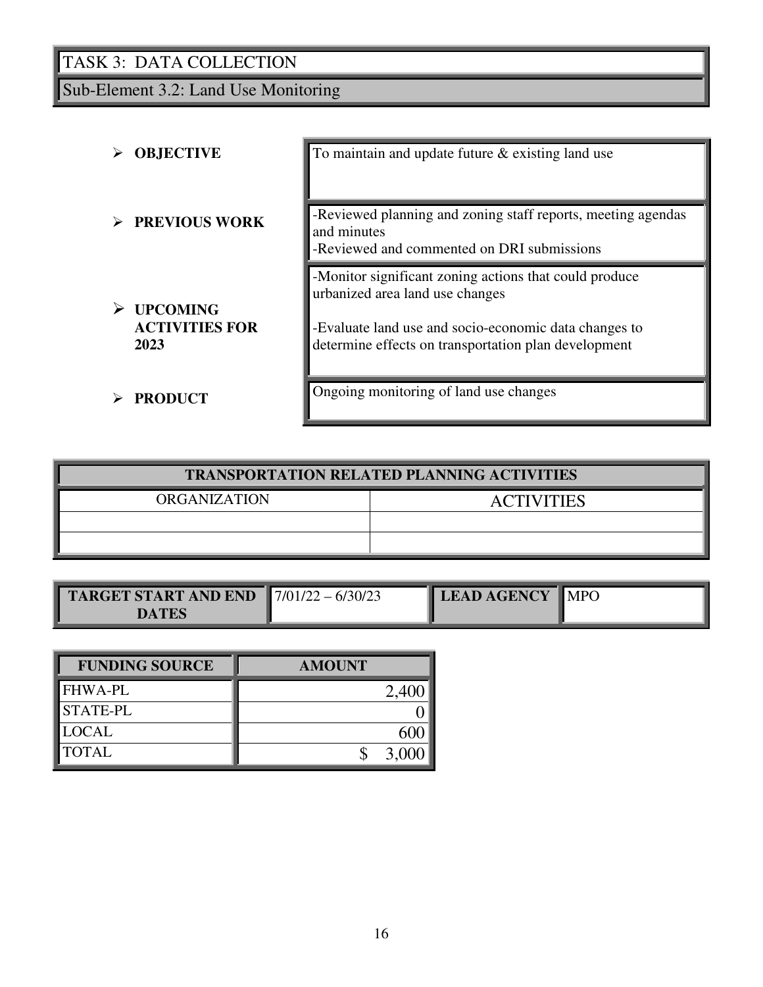Sub-Element 3.2: Land Use Monitoring

| <b>OBJECTIVE</b>                                 | To maintain and update future $\&$ existing land use                                                                                                                                                       |
|--------------------------------------------------|------------------------------------------------------------------------------------------------------------------------------------------------------------------------------------------------------------|
| <b>PREVIOUS WORK</b>                             | -Reviewed planning and zoning staff reports, meeting agendas<br>and minutes<br>-Reviewed and commented on DRI submissions                                                                                  |
| <b>UPCOMING</b><br><b>ACTIVITIES FOR</b><br>2023 | -Monitor significant zoning actions that could produce<br>urbanized area land use changes<br>-Evaluate land use and socio-economic data changes to<br>determine effects on transportation plan development |
| <b>PRODUCT</b>                                   | Ongoing monitoring of land use changes                                                                                                                                                                     |

| <b>TRANSPORTATION RELATED PLANNING ACTIVITIES</b> |                   |  |
|---------------------------------------------------|-------------------|--|
| <b>ORGANIZATION</b>                               | <b>ACTIVITIES</b> |  |
|                                                   |                   |  |
|                                                   |                   |  |

| <b>FUNDING SOURCE</b> | <b>AMOUNT</b> |
|-----------------------|---------------|
| <b>FHWA-PL</b>        |               |
| <b>STATE-PL</b>       |               |
| <b>LOCAL</b>          |               |
| <b>TOTAL</b>          |               |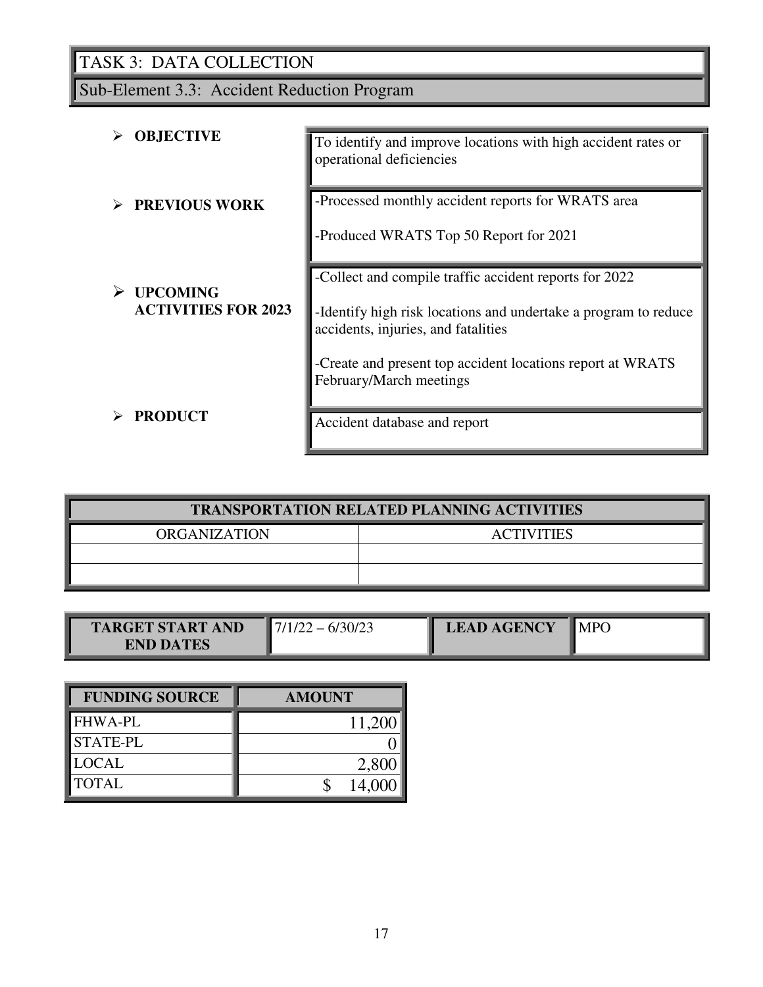Sub-Element 3.3: Accident Reduction Program

| <b>OBJECTIVE</b>           | To identify and improve locations with high accident rates or<br>operational deficiencies              |  |
|----------------------------|--------------------------------------------------------------------------------------------------------|--|
| <b>PREVIOUS WORK</b>       | -Processed monthly accident reports for WRATS area<br>-Produced WRATS Top 50 Report for 2021           |  |
|                            | -Collect and compile traffic accident reports for 2022                                                 |  |
| <b>UPCOMING</b>            |                                                                                                        |  |
| <b>ACTIVITIES FOR 2023</b> | -Identify high risk locations and undertake a program to reduce<br>accidents, injuries, and fatalities |  |
|                            | -Create and present top accident locations report at WRATS                                             |  |
|                            | February/March meetings                                                                                |  |
| <b>PRODUCT</b>             | Accident database and report                                                                           |  |

| <b>TRANSPORTATION RELATED PLANNING ACTIVITIES</b> |                   |  |  |
|---------------------------------------------------|-------------------|--|--|
| <b>ORGANIZATION</b>                               | <b>ACTIVITIES</b> |  |  |
|                                                   |                   |  |  |
|                                                   |                   |  |  |

|                         |                          |                    | $\sim$ |
|-------------------------|--------------------------|--------------------|--------|
| <b>TARGET START AND</b> | $\overline{\phantom{a}}$ | <b>LEAD AGENCY</b> |        |
| <b>END DATES</b>        |                          |                    |        |

| <b>FUNDING SOURCE</b> | <b>AMOUNT</b> |
|-----------------------|---------------|
| <b>FHWA-PL</b>        | 11,200        |
| <b>STATE-PL</b>       |               |
| <b>LOCAL</b>          | 2,800         |
| <b>TOTAL</b>          | 14,000        |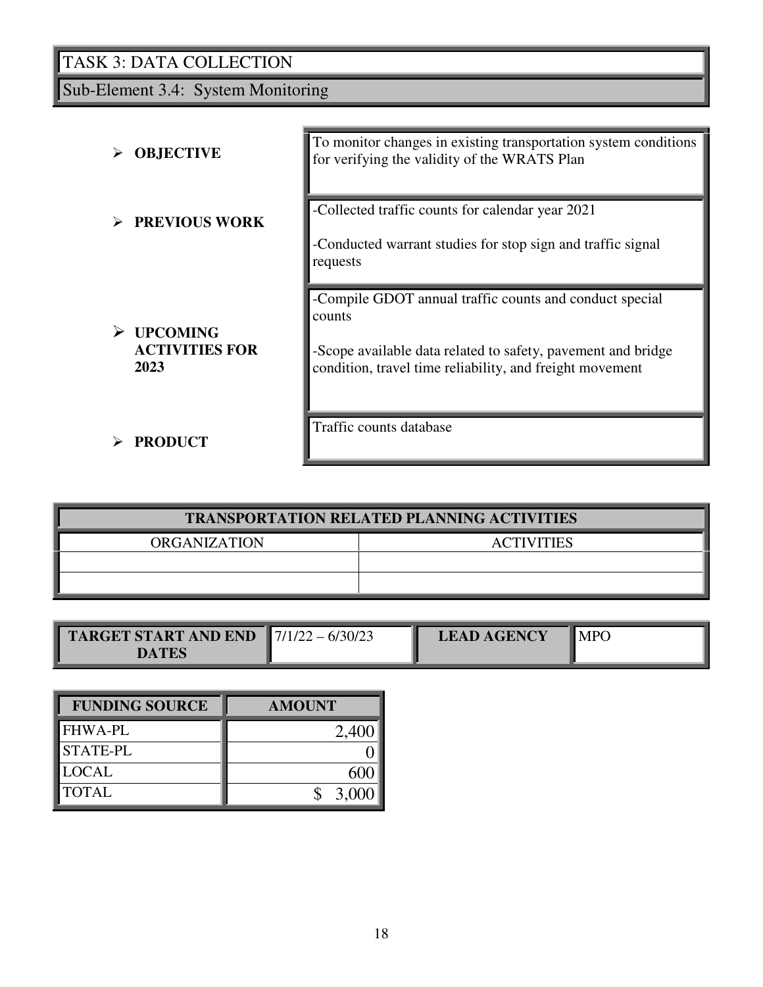Sub-Element 3.4: System Monitoring

| <b>OBJECTIVE</b>                                      | To monitor changes in existing transportation system conditions<br>for verifying the validity of the WRATS Plan                                                                               |
|-------------------------------------------------------|-----------------------------------------------------------------------------------------------------------------------------------------------------------------------------------------------|
| <b>PREVIOUS WORK</b>                                  | -Collected traffic counts for calendar year 2021<br>-Conducted warrant studies for stop sign and traffic signal<br>requests                                                                   |
| <b>UPCOMING</b><br>➤<br><b>ACTIVITIES FOR</b><br>2023 | -Compile GDOT annual traffic counts and conduct special<br>counts<br>-Scope available data related to safety, pavement and bridge<br>condition, travel time reliability, and freight movement |
| <b>PRODUCT</b>                                        | Traffic counts database                                                                                                                                                                       |

| <b>TRANSPORTATION RELATED PLANNING ACTIVITIES</b> |                   |  |  |
|---------------------------------------------------|-------------------|--|--|
| <b>ORGANIZATION</b>                               | <b>ACTIVITIES</b> |  |  |
|                                                   |                   |  |  |
|                                                   |                   |  |  |

| <b>TARGET START AND END</b> 7/1/22 - 6/30/23 | <b>LEAD AGENCY</b> | MP <sub>(</sub> |
|----------------------------------------------|--------------------|-----------------|
| <b>DATES</b>                                 |                    |                 |

| <b>FUNDING SOURCE</b> | <b>AMOUNT</b> |
|-----------------------|---------------|
| <b>FHWA-PL</b>        | 2,40          |
| <b>STATE-PL</b>       |               |
| <b>LOCAL</b>          |               |
| <b>TOTAL</b>          | 3,000         |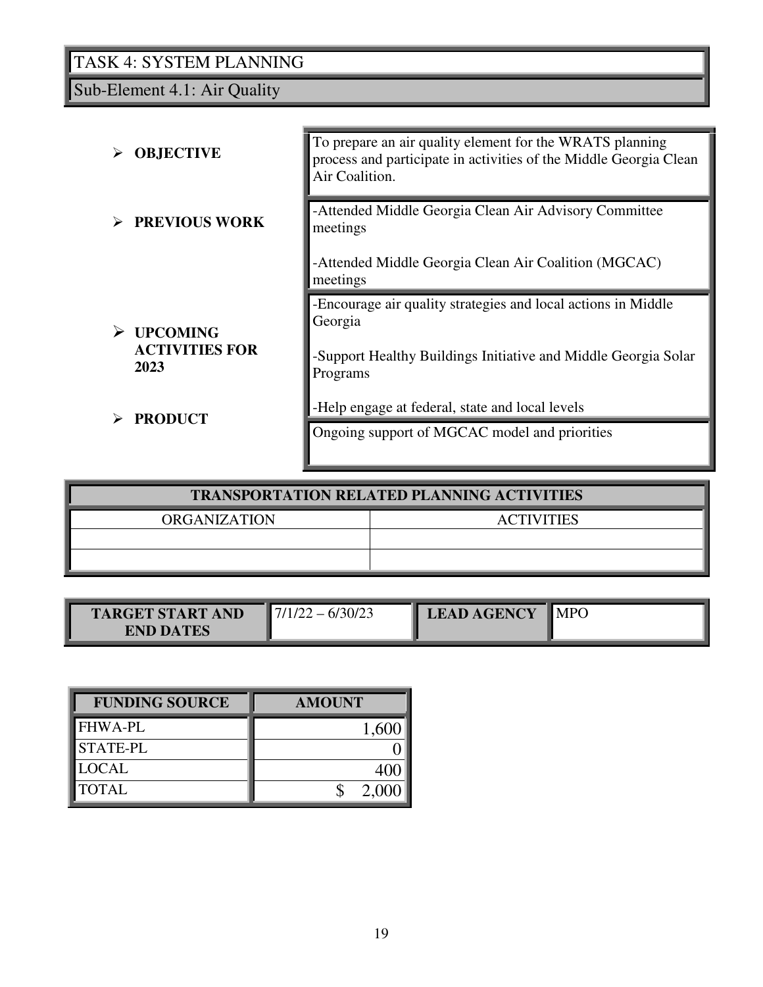Sub-Element 4.1: Air Quality

|      | <b>OBJECTIVE</b>      | To prepare an air quality element for the WRATS planning<br>process and participate in activities of the Middle Georgia Clean<br>Air Coalition. |
|------|-----------------------|-------------------------------------------------------------------------------------------------------------------------------------------------|
|      | <b>PREVIOUS WORK</b>  | -Attended Middle Georgia Clean Air Advisory Committee<br>meetings                                                                               |
|      |                       | -Attended Middle Georgia Clean Air Coalition (MGCAC)<br>meetings                                                                                |
|      | <b>UPCOMING</b>       | -Encourage air quality strategies and local actions in Middle<br>Georgia                                                                        |
| 2023 | <b>ACTIVITIES FOR</b> | -Support Healthy Buildings Initiative and Middle Georgia Solar<br>Programs                                                                      |
|      | <b>PRODUCT</b>        | -Help engage at federal, state and local levels                                                                                                 |
|      |                       | Ongoing support of MGCAC model and priorities                                                                                                   |

| <b>TRANSPORTATION RELATED PLANNING ACTIVITIES</b> |                   |  |  |
|---------------------------------------------------|-------------------|--|--|
| <b>ORGANIZATION</b>                               | <b>ACTIVITIES</b> |  |  |
|                                                   |                   |  |  |
|                                                   |                   |  |  |

| TARGET START AND<br><b>END DATES</b> | /30/23<br>$\eta$ | <b>LEAD AGENCY</b> | <b>MPC</b> |
|--------------------------------------|------------------|--------------------|------------|
|--------------------------------------|------------------|--------------------|------------|

| <b>FUNDING SOURCE</b> | <b>AMOUNT</b> |
|-----------------------|---------------|
| <b>FHWA-PL</b>        |               |
| <b>STATE-PL</b>       |               |
| LOCAL                 |               |
| <b>TOTAL</b>          | 2.00          |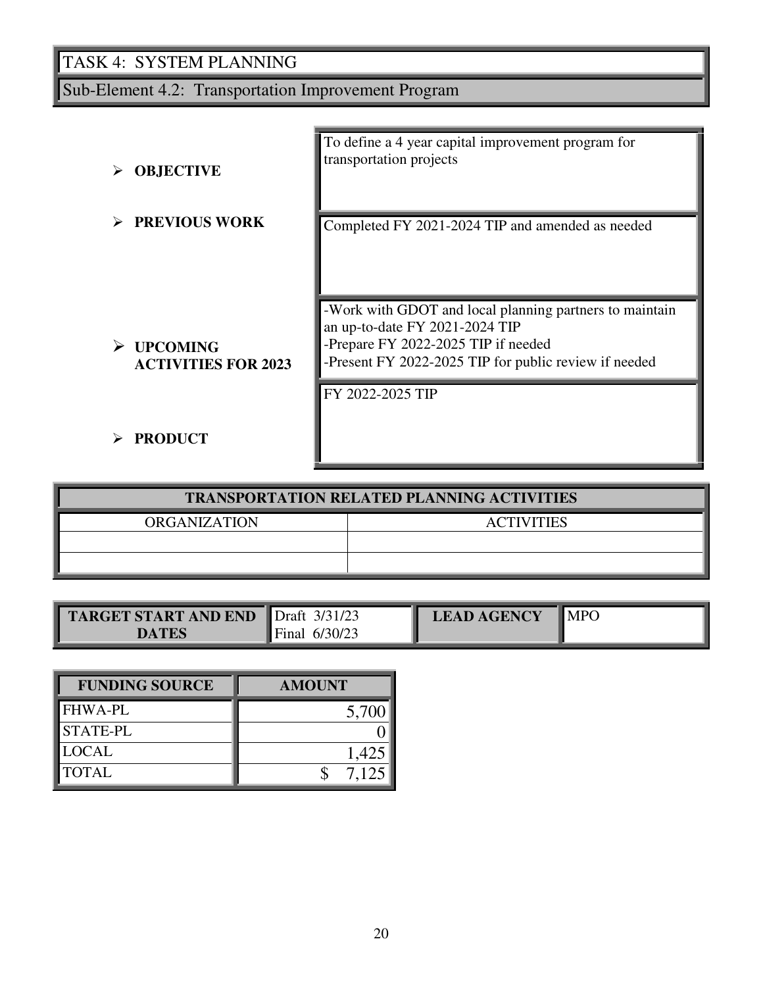Sub-Element 4.2: Transportation Improvement Program

| <b>OBJECTIVE</b>                              | To define a 4 year capital improvement program for<br>transportation projects                                                                                                             |
|-----------------------------------------------|-------------------------------------------------------------------------------------------------------------------------------------------------------------------------------------------|
| <b>PREVIOUS WORK</b>                          | Completed FY 2021-2024 TIP and amended as needed                                                                                                                                          |
| <b>UPCOMING</b><br><b>ACTIVITIES FOR 2023</b> | -Work with GDOT and local planning partners to maintain<br>an up-to-date FY 2021-2024 TIP<br>-Prepare FY 2022-2025 TIP if needed<br>-Present FY 2022-2025 TIP for public review if needed |
| <b>PRODUCT</b>                                | FY 2022-2025 TIP                                                                                                                                                                          |

| <b>TRANSPORTATION RELATED PLANNING ACTIVITIES</b> |                   |  |  |
|---------------------------------------------------|-------------------|--|--|
| <b>ORGANIZATION</b>                               | <b>ACTIVITIES</b> |  |  |
|                                                   |                   |  |  |
|                                                   |                   |  |  |

| <b>TARGET START AND END</b> | 3/31/23<br>$\blacksquare$ Draft | <b>LEAD AGENCY</b> | <b>MPC</b> |
|-----------------------------|---------------------------------|--------------------|------------|
| <b>DATES</b>                | 6/30/23<br>. Final              |                    |            |

| <b>FUNDING SOURCE</b> | <b>AMOUNT</b> |
|-----------------------|---------------|
| <b>FHWA-PL</b>        | 5,700         |
| <b>STATE-PL</b>       |               |
| <b>LOCAL</b>          | 1,425         |
| <b>TOTAL</b>          | $7.12^{4}$    |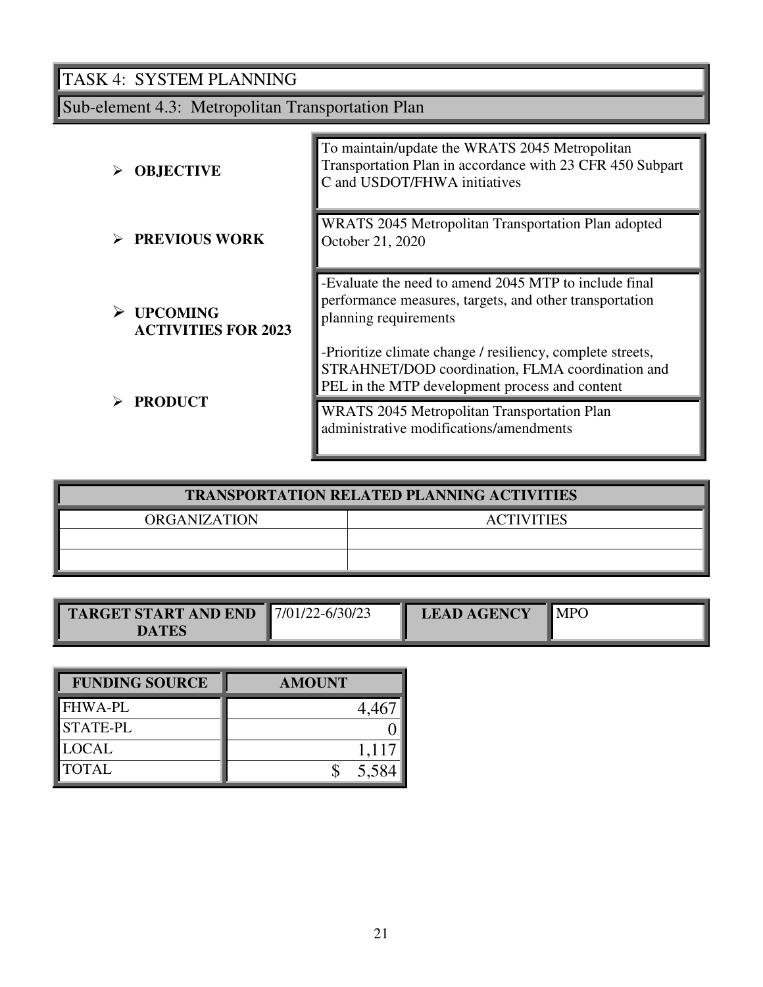Sub-element 4.3: Metropolitan Transportation Plan

| <b>OBJECTIVE</b>                              | To maintain/update the WRATS 2045 Metropolitan<br>Transportation Plan in accordance with 23 CFR 450 Subpart<br>C and USDOT/FHWA initiatives                      |
|-----------------------------------------------|------------------------------------------------------------------------------------------------------------------------------------------------------------------|
| $\triangleright$ PREVIOUS WORK                | WRATS 2045 Metropolitan Transportation Plan adopted<br>October 21, 2020                                                                                          |
| <b>UPCOMING</b><br><b>ACTIVITIES FOR 2023</b> | -Evaluate the need to amend 2045 MTP to include final<br>performance measures, targets, and other transportation<br>planning requirements                        |
|                                               | -Prioritize climate change / resiliency, complete streets,<br>STRAHNET/DOD coordination, FLMA coordination and<br>PEL in the MTP development process and content |
| <b>PRODUCT</b>                                | <b>WRATS</b> 2045 Metropolitan Transportation Plan<br>administrative modifications/amendments                                                                    |

| <b>TRANSPORTATION RELATED PLANNING ACTIVITIES</b> |                   |  |  |
|---------------------------------------------------|-------------------|--|--|
| <b>ORGANIZATION</b>                               | <b>ACTIVITIES</b> |  |  |
|                                                   |                   |  |  |
|                                                   |                   |  |  |

| <b>TARGET START AND END</b><br>) A TES | $17/01/22 - 6/30/23$ | <b>LEAD AGENCY</b> | <b>MPO</b> |
|----------------------------------------|----------------------|--------------------|------------|
|----------------------------------------|----------------------|--------------------|------------|

| <b>FUNDING SOURCE</b> | <b>AMOUNT</b> |
|-----------------------|---------------|
| <b>FHWA-PL</b>        |               |
| <b>STATE-PL</b>       |               |
| <b>LOCAL</b>          | 1,117         |
| <b>TOTAL</b>          | 5,584         |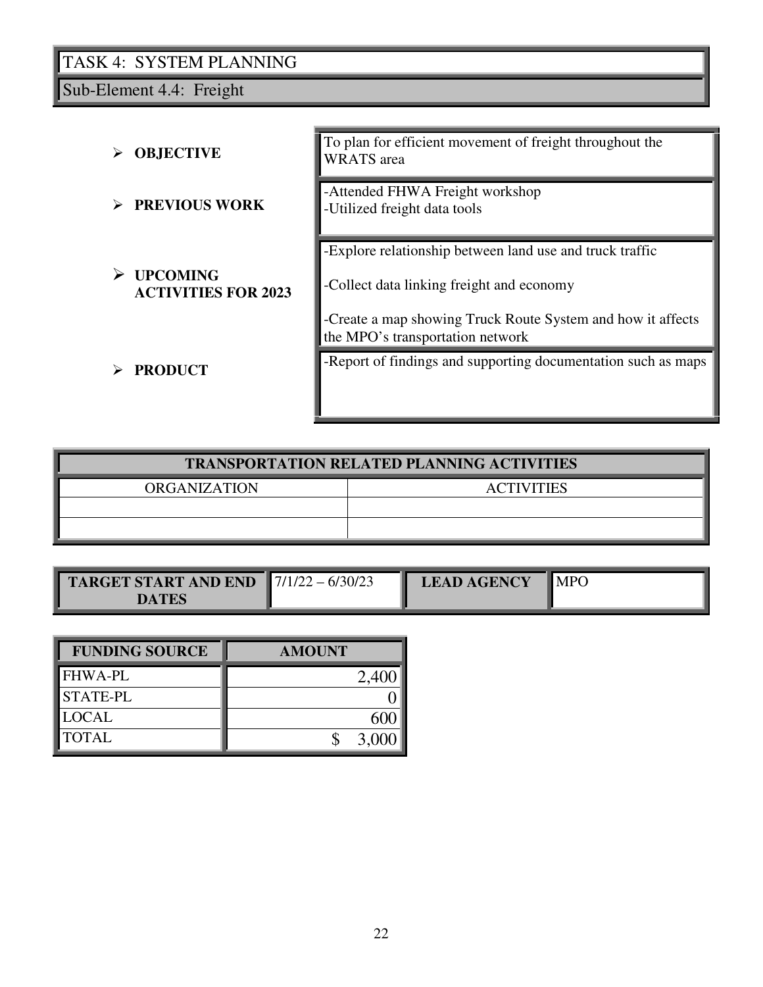Sub-Element 4.4: Freight

| <b>OBJECTIVE</b>                                   | To plan for efficient movement of freight throughout the<br><b>WRATS</b> area                                                                                                                            |
|----------------------------------------------------|----------------------------------------------------------------------------------------------------------------------------------------------------------------------------------------------------------|
| <b>PREVIOUS WORK</b>                               | -Attended FHWA Freight workshop<br>-Utilized freight data tools                                                                                                                                          |
| <b>UPCOMING</b><br>➤<br><b>ACTIVITIES FOR 2023</b> | -Explore relationship between land use and truck traffic<br>-Collect data linking freight and economy<br>-Create a map showing Truck Route System and how it affects<br>the MPO's transportation network |
| <b>PRODUCT</b>                                     | -Report of findings and supporting documentation such as maps                                                                                                                                            |

| <b>TRANSPORTATION RELATED PLANNING ACTIVITIES</b> |                   |  |  |
|---------------------------------------------------|-------------------|--|--|
| <b>ORGANIZATION</b>                               | <b>ACTIVITIES</b> |  |  |
|                                                   |                   |  |  |
|                                                   |                   |  |  |

| <b>TARGET START AND END</b> $\blacksquare$ 7/1/22 – 6/30/23<br>DATES |  | <b>LEAD AGENCY</b> | $\blacksquare$ MPO |
|----------------------------------------------------------------------|--|--------------------|--------------------|
|----------------------------------------------------------------------|--|--------------------|--------------------|

| <b>FUNDING SOURCE</b> | <b>AMOUNT</b> |
|-----------------------|---------------|
| <b>FHWA-PL</b>        | 2,40          |
| <b>STATE-PL</b>       |               |
| <b>LOCAL</b>          |               |
| <b>TOTAL</b>          | 3.00          |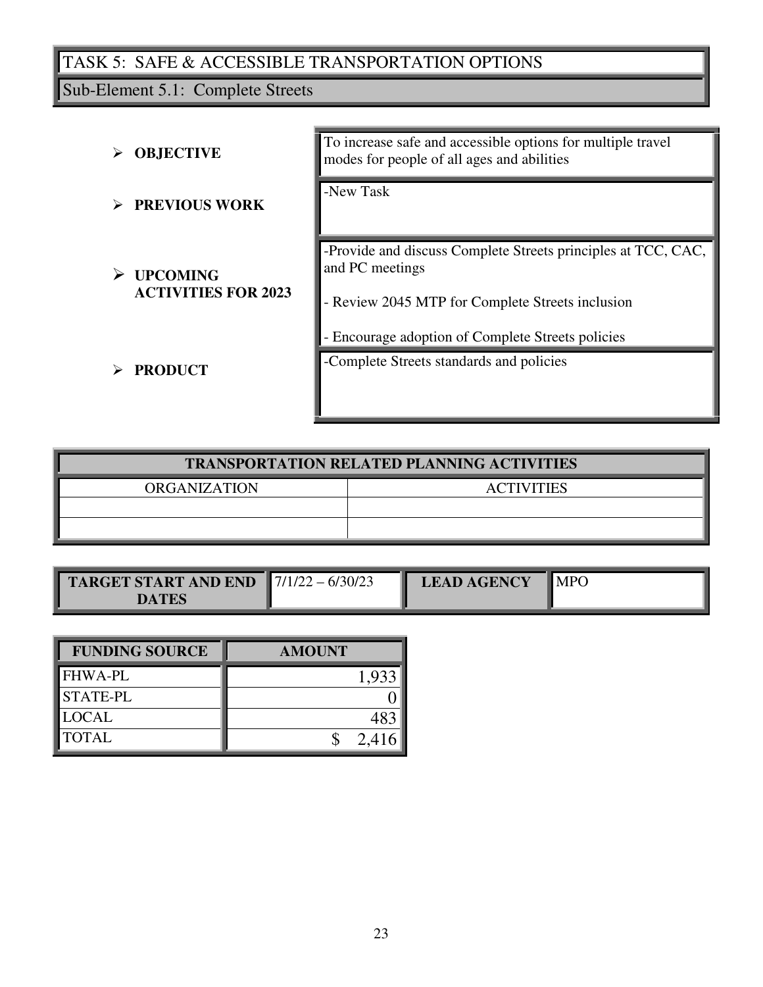# TASK 5: SAFE & ACCESSIBLE TRANSPORTATION OPTIONS

Sub-Element 5.1: Complete Streets

| <b>OBJECTIVE</b>                              | To increase safe and accessible options for multiple travel<br>modes for people of all ages and abilities                            |  |  |  |  |  |
|-----------------------------------------------|--------------------------------------------------------------------------------------------------------------------------------------|--|--|--|--|--|
| <b>PREVIOUS WORK</b>                          | -New Task                                                                                                                            |  |  |  |  |  |
| <b>UPCOMING</b><br><b>ACTIVITIES FOR 2023</b> | -Provide and discuss Complete Streets principles at TCC, CAC,<br>and PC meetings<br>- Review 2045 MTP for Complete Streets inclusion |  |  |  |  |  |
| <b>PRODUCT</b>                                | - Encourage adoption of Complete Streets policies<br>-Complete Streets standards and policies                                        |  |  |  |  |  |

| <b>TRANSPORTATION RELATED PLANNING ACTIVITIES</b> |                   |  |  |  |  |  |  |  |  |
|---------------------------------------------------|-------------------|--|--|--|--|--|--|--|--|
| <b>ORGANIZATION</b>                               | <b>ACTIVITIES</b> |  |  |  |  |  |  |  |  |
|                                                   |                   |  |  |  |  |  |  |  |  |
|                                                   |                   |  |  |  |  |  |  |  |  |

| <b>TARGET START AND END</b> $\sqrt{\frac{7}{122}} - \frac{6}{30/23}$ | <b>LEAD AGENCY</b> | $\blacksquare$ MPO |
|----------------------------------------------------------------------|--------------------|--------------------|
| DATES                                                                |                    |                    |

| <b>FUNDING SOURCE</b> | <b>AMOUNT</b> |
|-----------------------|---------------|
| <b>FHWA-PL</b>        |               |
| <b>STATE-PL</b>       |               |
| <b>LOCAL</b>          |               |
| <b>TOTAL</b>          | 2.41          |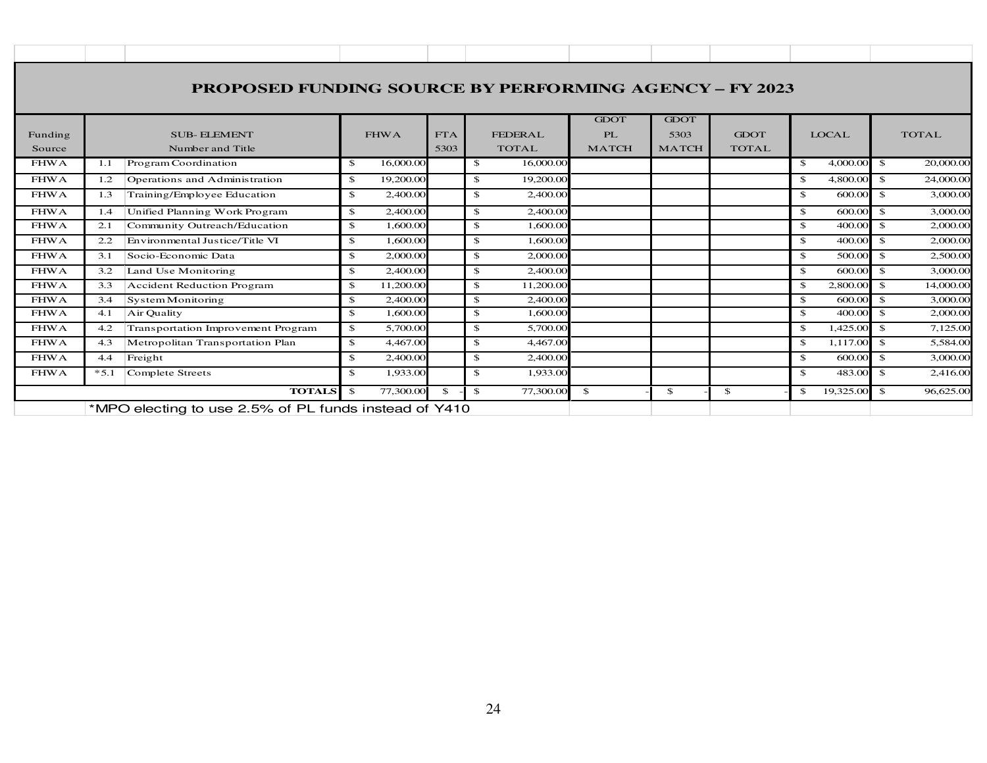| <b>PROPOSED FUNDING SOURCE BY PERFORMING AGENCY - FY 2023</b> |                                                                        |                             |                    |                                |                                          |                                     |                             |                           |                            |  |  |
|---------------------------------------------------------------|------------------------------------------------------------------------|-----------------------------|--------------------|--------------------------------|------------------------------------------|-------------------------------------|-----------------------------|---------------------------|----------------------------|--|--|
| Funding<br>Source                                             | <b>SUB-ELEMENT</b><br>Number and Title                                 | <b>FHWA</b>                 | <b>FTA</b><br>5303 | <b>FEDERAL</b><br><b>TOTAL</b> | <b>GDOT</b><br><b>PL</b><br><b>MATCH</b> | <b>GDOT</b><br>5303<br><b>MATCH</b> | <b>GDOT</b><br><b>TOTAL</b> | <b>LOCAL</b>              | <b>TOTAL</b>               |  |  |
| <b>FHWA</b>                                                   | Program Coordination<br>1.1                                            | 16,000.00<br>$\mathbf{s}$   |                    | 16,000.00<br>$\mathbb{S}$      |                                          |                                     |                             | 4,000.00<br>$\mathcal{S}$ | 20,000.00<br>-\$           |  |  |
| <b>FHWA</b>                                                   | Operations and Administration<br>1.2                                   | $\mathbf{s}$<br>19,200.00   |                    | $\mathbb{S}$<br>19,200.00      |                                          |                                     |                             | $\mathbf{s}$<br>4,800.00  | $\mathbf{s}$<br>24,000.00  |  |  |
| <b>FHWA</b>                                                   | Training/Employee Education<br>1.3                                     | $\mathbb{S}$<br>2,400.00    |                    | $\mathbb{S}$<br>2,400.00       |                                          |                                     |                             | 600.00<br>\$              | 3,000.00<br>-\$            |  |  |
| <b>FHWA</b>                                                   | Unified Planning Work Program<br>1.4                                   | 2,400.00<br>\$              |                    | 2,400.00<br>$\mathbb{S}$       |                                          |                                     |                             | 600.00<br>$\mathbf{s}$    | 3,000.00<br>$\mathbf{s}$   |  |  |
| <b>FHWA</b>                                                   | Community Outreach/Education<br>2.1                                    | \$<br>1,600.00              |                    | $\mathbb{S}$<br>1,600.00       |                                          |                                     |                             | 400.00<br>$\mathbf{s}$    | 2,000.00<br>$\mathcal{S}$  |  |  |
| <b>FHWA</b>                                                   | Environmental Justice/Title VI<br>2.2                                  | $\mathbf{s}$<br>1,600.00    |                    | $\mathbb{S}$<br>1,600.00       |                                          |                                     |                             | 400.00<br>$\mathbf{s}$    | $\mathbf{s}$<br>2,000.00   |  |  |
| <b>FHWA</b>                                                   | Socio-Economic Data<br>3.1                                             | $\mathbb{S}$<br>2,000.00    |                    | \$<br>2,000.00                 |                                          |                                     |                             | 500.00<br>\$.             | 2,500.00<br><sup>\$</sup>  |  |  |
| <b>FHWA</b>                                                   | Land Use Monitoring<br>3.2                                             | $\mathbb{S}$<br>2,400.00    |                    | \$<br>2,400.00                 |                                          |                                     |                             | 600.00<br>\$.             | 3,000.00<br>$\mathbf{s}$   |  |  |
| <b>FHWA</b>                                                   | Accident Reduction Program<br>3.3                                      | $\mathfrak{S}$<br>11,200,00 |                    | \$<br>11,200,00                |                                          |                                     |                             | 2,800.00<br>\$.           | 14,000.00<br>$\mathcal{S}$ |  |  |
| <b>FHWA</b>                                                   | 3.4<br>System Monitoring                                               | $\mathbf{s}$<br>2,400.00    |                    | \$<br>2,400.00                 |                                          |                                     |                             | $\mathbf{s}$<br>600.00    | 3,000.00<br>$\mathcal{S}$  |  |  |
| <b>FHWA</b>                                                   | Air Quality<br>4.1                                                     | $\mathbf{s}$<br>1,600.00    |                    | $\mathbb{Z}$<br>1,600.00       |                                          |                                     |                             | 400.00<br>$\mathbf{s}$    | $\mathbf{s}$<br>2,000.00   |  |  |
| <b>FHWA</b>                                                   | Transportation Improvement Program<br>4.2                              | $\mathbf{s}$<br>5,700.00    |                    | \$<br>5,700.00                 |                                          |                                     |                             | 1,425.00<br>$\mathcal{S}$ | $\mathbf{s}$<br>7,125.00   |  |  |
| <b>FHWA</b>                                                   | Metropolitan Transportation Plan<br>4.3                                | 4,467.00<br>$\mathbb{S}$    |                    | 4,467.00<br>\$                 |                                          |                                     |                             | 1,117.00<br>\$            | -\$<br>5,584.00            |  |  |
| <b>FHWA</b>                                                   | Freight<br>4.4                                                         | 2,400.00<br>$\mathbf{s}$    |                    | $\mathbb{S}$<br>2,400.00       |                                          |                                     |                             | 600.00<br>$\mathbf{s}$    | 3,000.00<br>$\mathbf{s}$   |  |  |
| <b>FHWA</b>                                                   | $*5.1$<br>Complete Streets                                             | 1.933.00<br>$\mathcal{S}$   |                    | \$<br>1,933.00                 |                                          |                                     |                             | 483.00<br>$\mathcal{S}$   | 2,416.00<br>$\mathbf{s}$   |  |  |
|                                                               | <b>TOTALS</b><br>*MPO electing to use 2.5% of PL funds instead of Y410 | 77,300.00<br>- \$           | $\mathcal{S}$      | 77,300.00<br>$\mathcal{S}$     | \$                                       | \$                                  | \$                          | 19,325.00<br>\$           | 96,625.00<br>-\$           |  |  |